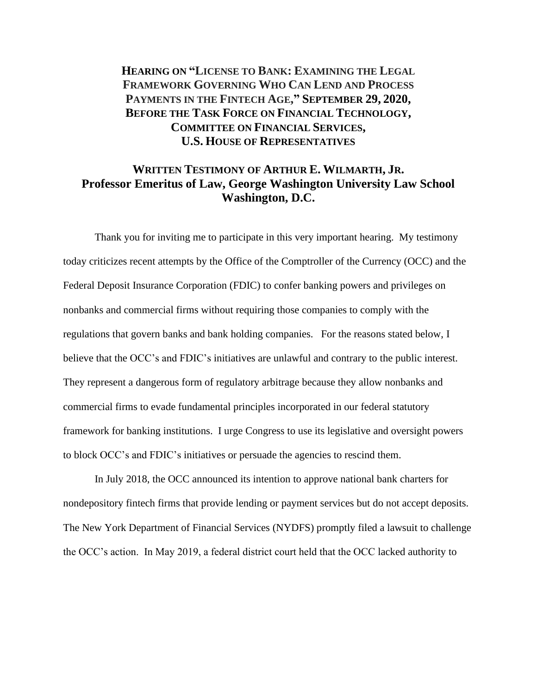**HEARING ON "LICENSE TO BANK: EXAMINING THE LEGAL FRAMEWORK GOVERNING WHO CAN LEND AND PROCESS PAYMENTS IN THE FINTECH AGE, " SEPTEMBER 29, 2020, BEFORE THE TASK FORCE ON FINANCIAL TECHNOLOGY, COMMITTEE ON FINANCIAL SERVICES, U.S. HOUSE OF REPRESENTATIVES**

# **WRITTEN TESTIMONY OF ARTHUR E. WILMARTH, JR. Professor Emeritus of Law, George Washington University Law School Washington, D.C.**

Thank you for inviting me to participate in this very important hearing. My testimony today criticizes recent attempts by the Office of the Comptroller of the Currency (OCC) and the Federal Deposit Insurance Corporation (FDIC) to confer banking powers and privileges on nonbanks and commercial firms without requiring those companies to comply with the regulations that govern banks and bank holding companies. For the reasons stated below, I believe that the OCC's and FDIC's initiatives are unlawful and contrary to the public interest. They represent a dangerous form of regulatory arbitrage because they allow nonbanks and commercial firms to evade fundamental principles incorporated in our federal statutory framework for banking institutions. I urge Congress to use its legislative and oversight powers to block OCC's and FDIC's initiatives or persuade the agencies to rescind them.

In July 2018, the OCC announced its intention to approve national bank charters for nondepository fintech firms that provide lending or payment services but do not accept deposits. The New York Department of Financial Services (NYDFS) promptly filed a lawsuit to challenge the OCC's action. In May 2019, a federal district court held that the OCC lacked authority to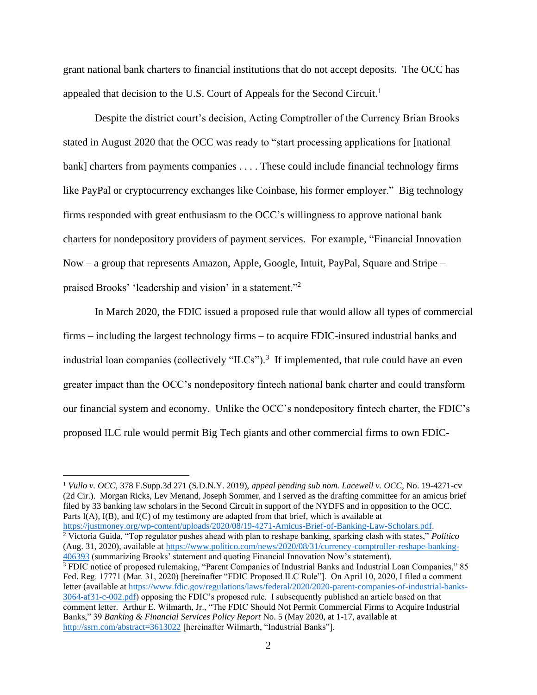grant national bank charters to financial institutions that do not accept deposits. The OCC has appealed that decision to the U.S. Court of Appeals for the Second Circuit.<sup>1</sup>

Despite the district court's decision, Acting Comptroller of the Currency Brian Brooks stated in August 2020 that the OCC was ready to "start processing applications for [national bank] charters from payments companies . . . . These could include financial technology firms like PayPal or cryptocurrency exchanges like Coinbase, his former employer." Big technology firms responded with great enthusiasm to the OCC's willingness to approve national bank charters for nondepository providers of payment services. For example, "Financial Innovation Now – a group that represents Amazon, Apple, Google, Intuit, PayPal, Square and Stripe – praised Brooks' 'leadership and vision' in a statement."<sup>2</sup>

In March 2020, the FDIC issued a proposed rule that would allow all types of commercial firms – including the largest technology firms – to acquire FDIC-insured industrial banks and industrial loan companies (collectively " $ILCs$ ").<sup>3</sup> If implemented, that rule could have an even greater impact than the OCC's nondepository fintech national bank charter and could transform our financial system and economy. Unlike the OCC's nondepository fintech charter, the FDIC's proposed ILC rule would permit Big Tech giants and other commercial firms to own FDIC-

<sup>1</sup> *Vullo v. OCC*, 378 F.Supp.3d 271 (S.D.N.Y. 2019), *appeal pending sub nom. Lacewell v. OCC*, No. 19-4271-cv (2d Cir.). Morgan Ricks, Lev Menand, Joseph Sommer, and I served as the drafting committee for an amicus brief filed by 33 banking law scholars in the Second Circuit in support of the NYDFS and in opposition to the OCC. Parts I(A), I(B), and I(C) of my testimony are adapted from that brief, which is available at [https://justmoney.org/wp-content/uploads/2020/08/19-4271-Amicus-Brief-of-Banking-Law-Scholars.pdf.](https://justmoney.org/wp-content/uploads/2020/08/19-4271-Amicus-Brief-of-Banking-Law-Scholars.pdf) <sup>2</sup> Victoria Guida, "Top regulator pushes ahead with plan to reshape banking, sparking clash with states," *Politico* (Aug. 31, 2020), available at [https://www.politico.com/news/2020/08/31/currency-comptroller-reshape-banking-](https://www.politico.com/news/2020/08/31/currency-comptroller-reshape-banking-406393)[406393](https://www.politico.com/news/2020/08/31/currency-comptroller-reshape-banking-406393) (summarizing Brooks' statement and quoting Financial Innovation Now's statement). <sup>3</sup> FDIC notice of proposed rulemaking, "Parent Companies of Industrial Banks and Industrial Loan Companies," 85 Fed. Reg. 17771 (Mar. 31, 2020) [hereinafter "FDIC Proposed ILC Rule"]. On April 10, 2020, I filed a comment letter (available a[t https://www.fdic.gov/regulations/laws/federal/2020/2020-parent-companies-of-industrial-banks-](https://www.fdic.gov/regulations/laws/federal/2020/2020-parent-companies-of-industrial-banks-3064-af31-c-002.pdf)[3064-af31-c-002.pdf\)](https://www.fdic.gov/regulations/laws/federal/2020/2020-parent-companies-of-industrial-banks-3064-af31-c-002.pdf) opposing the FDIC's proposed rule. I subsequently published an article based on that comment letter. Arthur E. Wilmarth, Jr., "The FDIC Should Not Permit Commercial Firms to Acquire Industrial Banks," 39 *Banking & Financial Services Policy Report* No. 5 (May 2020, at 1-17, available at <http://ssrn.com/abstract=3613022> [hereinafter Wilmarth, "Industrial Banks"].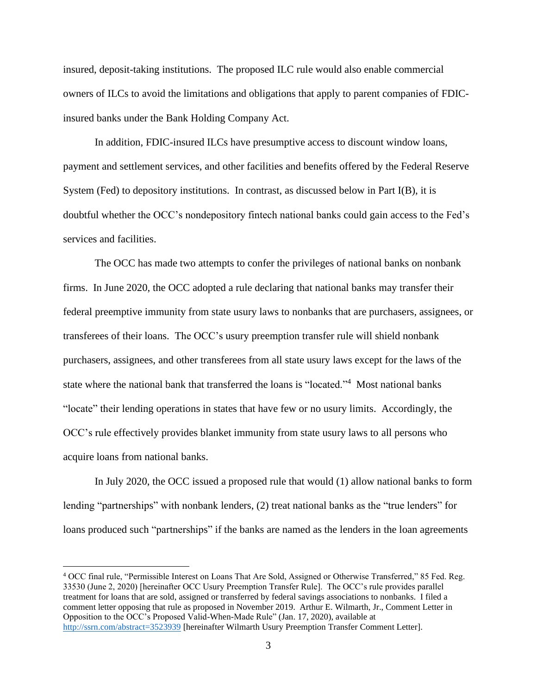insured, deposit-taking institutions. The proposed ILC rule would also enable commercial owners of ILCs to avoid the limitations and obligations that apply to parent companies of FDICinsured banks under the Bank Holding Company Act.

In addition, FDIC-insured ILCs have presumptive access to discount window loans, payment and settlement services, and other facilities and benefits offered by the Federal Reserve System (Fed) to depository institutions. In contrast, as discussed below in Part I(B), it is doubtful whether the OCC's nondepository fintech national banks could gain access to the Fed's services and facilities.

The OCC has made two attempts to confer the privileges of national banks on nonbank firms. In June 2020, the OCC adopted a rule declaring that national banks may transfer their federal preemptive immunity from state usury laws to nonbanks that are purchasers, assignees, or transferees of their loans. The OCC's usury preemption transfer rule will shield nonbank purchasers, assignees, and other transferees from all state usury laws except for the laws of the state where the national bank that transferred the loans is "located."<sup>4</sup> Most national banks "locate" their lending operations in states that have few or no usury limits. Accordingly, the OCC's rule effectively provides blanket immunity from state usury laws to all persons who acquire loans from national banks.

In July 2020, the OCC issued a proposed rule that would (1) allow national banks to form lending "partnerships" with nonbank lenders, (2) treat national banks as the "true lenders" for loans produced such "partnerships" if the banks are named as the lenders in the loan agreements

<sup>4</sup> OCC final rule, "Permissible Interest on Loans That Are Sold, Assigned or Otherwise Transferred," 85 Fed. Reg. 33530 (June 2, 2020) [hereinafter OCC Usury Preemption Transfer Rule]. The OCC's rule provides parallel treatment for loans that are sold, assigned or transferred by federal savings associations to nonbanks. I filed a comment letter opposing that rule as proposed in November 2019. Arthur E. Wilmarth, Jr., Comment Letter in Opposition to the OCC's Proposed Valid-When-Made Rule" (Jan. 17, 2020), available at <http://ssrn.com/abstract=3523939> [hereinafter Wilmarth Usury Preemption Transfer Comment Letter].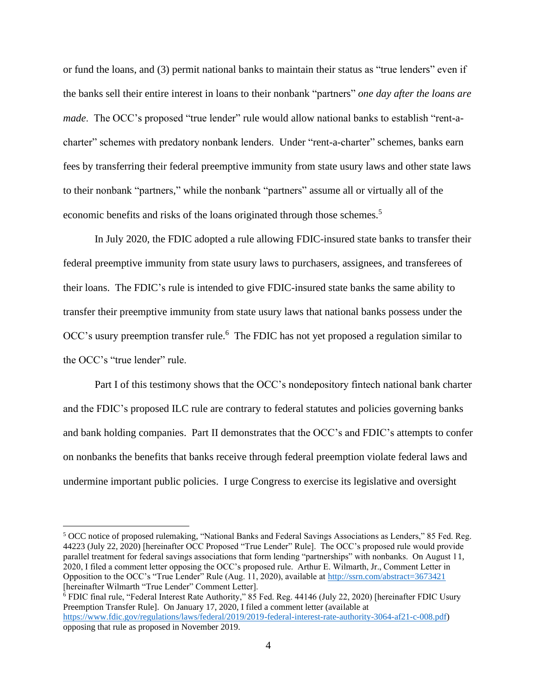or fund the loans, and (3) permit national banks to maintain their status as "true lenders" even if the banks sell their entire interest in loans to their nonbank "partners" *one day after the loans are made*. The OCC's proposed "true lender" rule would allow national banks to establish "rent-acharter" schemes with predatory nonbank lenders. Under "rent-a-charter" schemes, banks earn fees by transferring their federal preemptive immunity from state usury laws and other state laws to their nonbank "partners," while the nonbank "partners" assume all or virtually all of the economic benefits and risks of the loans originated through those schemes.<sup>5</sup>

In July 2020, the FDIC adopted a rule allowing FDIC-insured state banks to transfer their federal preemptive immunity from state usury laws to purchasers, assignees, and transferees of their loans. The FDIC's rule is intended to give FDIC-insured state banks the same ability to transfer their preemptive immunity from state usury laws that national banks possess under the OCC's usury preemption transfer rule.<sup>6</sup> The FDIC has not yet proposed a regulation similar to the OCC's "true lender" rule.

Part I of this testimony shows that the OCC's nondepository fintech national bank charter and the FDIC's proposed ILC rule are contrary to federal statutes and policies governing banks and bank holding companies. Part II demonstrates that the OCC's and FDIC's attempts to confer on nonbanks the benefits that banks receive through federal preemption violate federal laws and undermine important public policies. I urge Congress to exercise its legislative and oversight

<sup>5</sup> OCC notice of proposed rulemaking, "National Banks and Federal Savings Associations as Lenders," 85 Fed. Reg. 44223 (July 22, 2020) [hereinafter OCC Proposed "True Lender" Rule]. The OCC's proposed rule would provide parallel treatment for federal savings associations that form lending "partnerships" with nonbanks. On August 11, 2020, I filed a comment letter opposing the OCC's proposed rule. Arthur E. Wilmarth, Jr., Comment Letter in Opposition to the OCC's "True Lender" Rule (Aug. 11, 2020), available at<http://ssrn.com/abstract=3673421> [hereinafter Wilmarth "True Lender" Comment Letter].

<sup>6</sup> FDIC final rule, "Federal Interest Rate Authority," 85 Fed. Reg. 44146 (July 22, 2020) [hereinafter FDIC Usury Preemption Transfer Rule]. On January 17, 2020, I filed a comment letter (available at [https://www.fdic.gov/regulations/laws/federal/2019/2019-federal-interest-rate-authority-3064-af21-c-008.pdf\)](https://www.fdic.gov/regulations/laws/federal/2019/2019-federal-interest-rate-authority-3064-af21-c-008.pdf) opposing that rule as proposed in November 2019.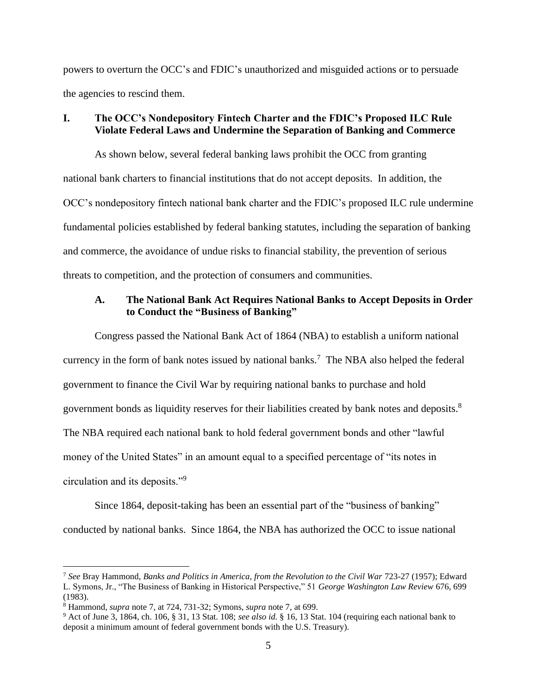powers to overturn the OCC's and FDIC's unauthorized and misguided actions or to persuade the agencies to rescind them.

#### **I. The OCC's Nondepository Fintech Charter and the FDIC's Proposed ILC Rule Violate Federal Laws and Undermine the Separation of Banking and Commerce**

As shown below, several federal banking laws prohibit the OCC from granting national bank charters to financial institutions that do not accept deposits. In addition, the OCC's nondepository fintech national bank charter and the FDIC's proposed ILC rule undermine fundamental policies established by federal banking statutes, including the separation of banking and commerce, the avoidance of undue risks to financial stability, the prevention of serious threats to competition, and the protection of consumers and communities.

### **A. The National Bank Act Requires National Banks to Accept Deposits in Order to Conduct the "Business of Banking"**

Congress passed the National Bank Act of 1864 (NBA) to establish a uniform national currency in the form of bank notes issued by national banks.<sup>7</sup> The NBA also helped the federal government to finance the Civil War by requiring national banks to purchase and hold government bonds as liquidity reserves for their liabilities created by bank notes and deposits.<sup>8</sup> The NBA required each national bank to hold federal government bonds and other "lawful money of the United States" in an amount equal to a specified percentage of "its notes in circulation and its deposits."<sup>9</sup>

Since 1864, deposit-taking has been an essential part of the "business of banking" conducted by national banks. Since 1864, the NBA has authorized the OCC to issue national

<sup>7</sup> *See* Bray Hammond, *Banks and Politics in America, from the Revolution to the Civil War* 723-27 (1957); Edward L. Symons, Jr., "The Business of Banking in Historical Perspective," 51 *George Washington Law Review* 676, 699 (1983).

<sup>8</sup> Hammond, *supra* note 7, at 724, 731-32; Symons, *supra* note 7, at 699.

<sup>9</sup> Act of June 3, 1864, ch. 106, § 31, 13 Stat. 108; *see also id.* § 16, 13 Stat. 104 (requiring each national bank to deposit a minimum amount of federal government bonds with the U.S. Treasury).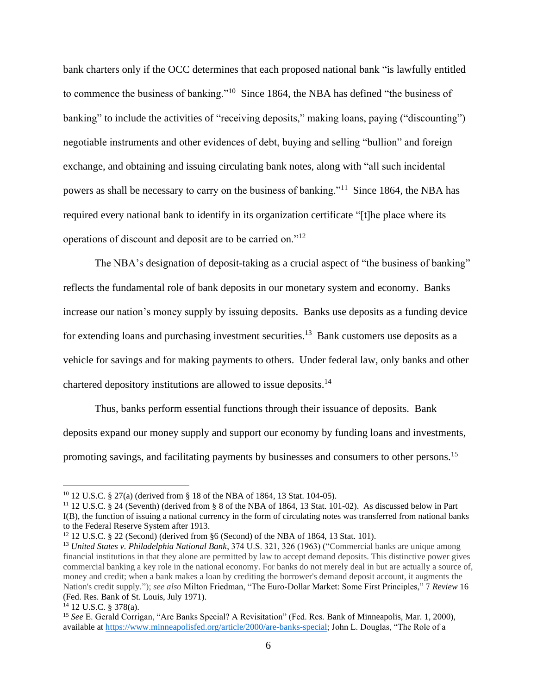bank charters only if the OCC determines that each proposed national bank "is lawfully entitled to commence the business of banking."<sup>10</sup> Since 1864, the NBA has defined "the business of banking" to include the activities of "receiving deposits," making loans, paying ("discounting") negotiable instruments and other evidences of debt, buying and selling "bullion" and foreign exchange, and obtaining and issuing circulating bank notes, along with "all such incidental powers as shall be necessary to carry on the business of banking."<sup>11</sup> Since 1864, the NBA has required every national bank to identify in its organization certificate "[t]he place where its operations of discount and deposit are to be carried on."<sup>12</sup>

The NBA's designation of deposit-taking as a crucial aspect of "the business of banking" reflects the fundamental role of bank deposits in our monetary system and economy. Banks increase our nation's money supply by issuing deposits. Banks use deposits as a funding device for extending loans and purchasing investment securities.<sup>13</sup> Bank customers use deposits as a vehicle for savings and for making payments to others. Under federal law, only banks and other chartered depository institutions are allowed to issue deposits.<sup>14</sup>

Thus, banks perform essential functions through their issuance of deposits. Bank deposits expand our money supply and support our economy by funding loans and investments, promoting savings, and facilitating payments by businesses and consumers to other persons.<sup>15</sup>

<sup>10</sup> 12 U.S.C. § 27(a) (derived from § 18 of the NBA of 1864, 13 Stat. 104-05).

<sup>11</sup> 12 U.S.C. § 24 (Seventh) (derived from § 8 of the NBA of 1864, 13 Stat. 101-02). As discussed below in Part I(B), the function of issuing a national currency in the form of circulating notes was transferred from national banks to the Federal Reserve System after 1913.

 $12$  12 U.S.C. § 22 (Second) (derived from §6 (Second) of the NBA of 1864, 13 Stat. 101).

<sup>13</sup> *United States v. Philadelphia National Bank*, 374 U.S. 321, 326 (1963) ("Commercial banks are unique among financial institutions in that they alone are permitted by law to accept demand deposits. This distinctive power gives commercial banking a key role in the national economy. For banks do not merely deal in but are actually a source of, money and credit; when a bank makes a loan by crediting the borrower's demand deposit account, it augments the Nation's credit supply."); *see also* Milton Friedman, "The Euro-Dollar Market: Some First Principles," 7 *Review* 16 (Fed. Res. Bank of St. Louis, July 1971).

<sup>14</sup> 12 U.S.C. § 378(a).

<sup>&</sup>lt;sup>15</sup> See E. Gerald Corrigan, "Are Banks Special? A Revisitation" (Fed. Res. Bank of Minneapolis, Mar. 1, 2000), available at [https://www.minneapolisfed.org/article/2000/are-banks-special;](https://www.minneapolisfed.org/article/2000/are-banks-special) John L. Douglas, "The Role of a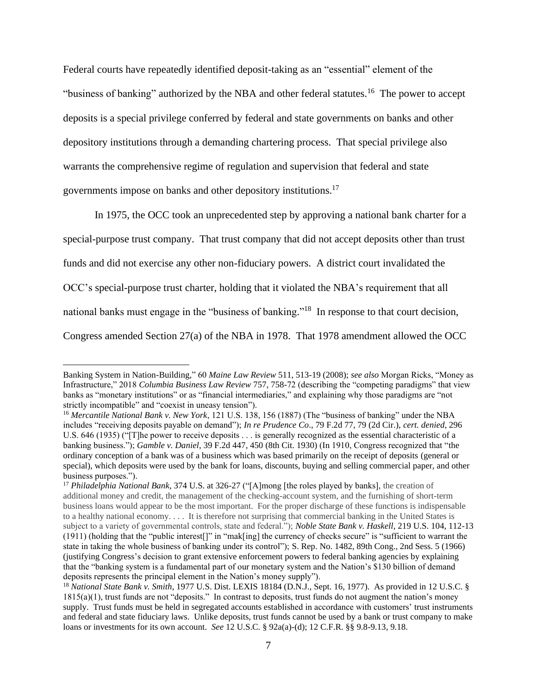Federal courts have repeatedly identified deposit-taking as an "essential" element of the "business of banking" authorized by the NBA and other federal statutes.<sup>16</sup> The power to accept deposits is a special privilege conferred by federal and state governments on banks and other depository institutions through a demanding chartering process. That special privilege also warrants the comprehensive regime of regulation and supervision that federal and state governments impose on banks and other depository institutions. 17

In 1975, the OCC took an unprecedented step by approving a national bank charter for a special-purpose trust company. That trust company that did not accept deposits other than trust funds and did not exercise any other non-fiduciary powers. A district court invalidated the OCC's special-purpose trust charter, holding that it violated the NBA's requirement that all national banks must engage in the "business of banking."<sup>18</sup> In response to that court decision, Congress amended Section 27(a) of the NBA in 1978. That 1978 amendment allowed the OCC

Banking System in Nation-Building," 60 *Maine Law Review* 511, 513-19 (2008); *see also* Morgan Ricks, "Money as Infrastructure," 2018 *Columbia Business Law Review* 757, 758-72 (describing the "competing paradigms" that view banks as "monetary institutions" or as "financial intermediaries," and explaining why those paradigms are "not strictly incompatible" and "coexist in uneasy tension").

<sup>&</sup>lt;sup>16</sup> Mercantile National Bank v. New York, 121 U.S. 138, 156 (1887) (The "business of banking" under the NBA includes "receiving deposits payable on demand"); *In re Prudence Co*., 79 F.2d 77, 79 (2d Cir.), *cert. denied*, 296 U.S. 646 (1935) ("[T]he power to receive deposits . . . is generally recognized as the essential characteristic of a banking business."); *Gamble v. Daniel*, 39 F.2d 447, 450 (8th Cit. 1930) (In 1910, Congress recognized that "the ordinary conception of a bank was of a business which was based primarily on the receipt of deposits (general or special), which deposits were used by the bank for loans, discounts, buying and selling commercial paper, and other business purposes.").

<sup>17</sup> *Philadelphia National Bank*, 374 U.S. at 326-27 ("[A]mong [the roles played by banks], the creation of additional money and credit, the management of the checking-account system, and the furnishing of short-term business loans would appear to be the most important. For the proper discharge of these functions is indispensable to a healthy national economy. . . . It is therefore not surprising that commercial banking in the United States is subject to a variety of governmental controls, state and federal."); *Noble State Bank v. Haskell*, 219 U.S. 104, 112-13 (1911) (holding that the "public interest[]" in "mak[ing] the currency of checks secure" is "sufficient to warrant the state in taking the whole business of banking under its control"); S. Rep. No. 1482, 89th Cong., 2nd Sess. 5 (1966) (justifying Congress's decision to grant extensive enforcement powers to federal banking agencies by explaining that the "banking system is a fundamental part of our monetary system and the Nation's \$130 billion of demand deposits represents the principal element in the Nation's money supply").

<sup>18</sup> *National State Bank v. Smith*, 1977 U.S. Dist. LEXIS 18184 (D.N.J., Sept. 16, 1977). As provided in 12 U.S.C. §  $1815(a)(1)$ , trust funds are not "deposits." In contrast to deposits, trust funds do not augment the nation's money supply. Trust funds must be held in segregated accounts established in accordance with customers' trust instruments and federal and state fiduciary laws. Unlike deposits, trust funds cannot be used by a bank or trust company to make loans or investments for its own account. *See* 12 U.S.C. § 92a(a)-(d); 12 C.F.R. §§ 9.8-9.13, 9.18.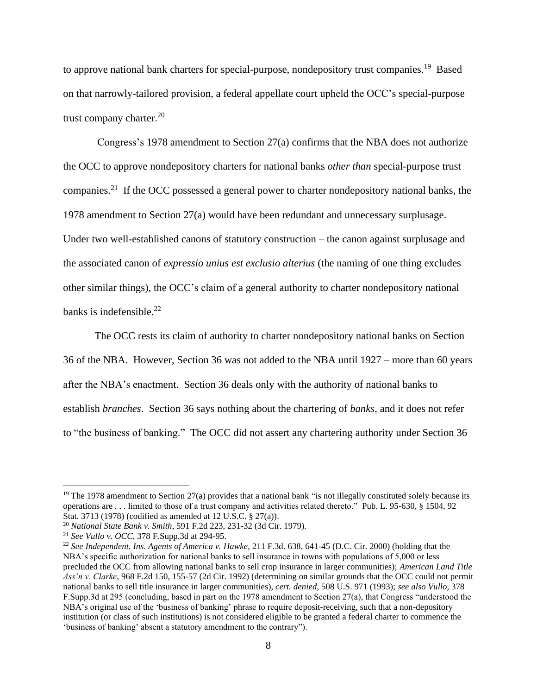to approve national bank charters for special-purpose, nondepository trust companies.<sup>19</sup> Based on that narrowly-tailored provision, a federal appellate court upheld the OCC's special-purpose trust company charter. $20$ 

Congress's 1978 amendment to Section 27(a) confirms that the NBA does not authorize the OCC to approve nondepository charters for national banks *other than* special-purpose trust companies.<sup>21</sup> If the OCC possessed a general power to charter nondepository national banks, the 1978 amendment to Section 27(a) would have been redundant and unnecessary surplusage. Under two well-established canons of statutory construction – the canon against surplusage and the associated canon of *expressio unius est exclusio alterius* (the naming of one thing excludes other similar things), the OCC's claim of a general authority to charter nondepository national banks is indefensible. 22

The OCC rests its claim of authority to charter nondepository national banks on Section 36 of the NBA. However, Section 36 was not added to the NBA until 1927 – more than 60 years after the NBA's enactment. Section 36 deals only with the authority of national banks to establish *branches*. Section 36 says nothing about the chartering of *banks*, and it does not refer to "the business of banking." The OCC did not assert any chartering authority under Section 36

<sup>&</sup>lt;sup>19</sup> The 1978 amendment to Section 27(a) provides that a national bank "is not illegally constituted solely because its operations are . . . limited to those of a trust company and activities related thereto." Pub. L. 95-630, § 1504, 92 Stat. 3713 (1978) (codified as amended at 12 U.S.C. § 27(a)).

<sup>20</sup> *National State Bank v. Smith*, 591 F.2d 223, 231-32 (3d Cir. 1979).

<sup>21</sup> *See Vullo v. OCC*, 378 F.Supp.3d at 294-95.

<sup>22</sup> *See Independent. Ins. Agents of America v. Hawke*, 211 F.3d. 638, 641-45 (D.C. Cir. 2000) (holding that the NBA's specific authorization for national banks to sell insurance in towns with populations of 5,000 or less precluded the OCC from allowing national banks to sell crop insurance in larger communities); *American Land Title Ass'n v. Clarke*, 968 F.2d 150, 155-57 (2d Cir. 1992) (determining on similar grounds that the OCC could not permit national banks to sell title insurance in larger communities), *cert. denied*, 508 U.S. 971 (1993); *see also Vullo*, 378 F.Supp.3d at 295 (concluding, based in part on the 1978 amendment to Section 27(a), that Congress "understood the NBA's original use of the 'business of banking' phrase to require deposit-receiving, such that a non-depository institution (or class of such institutions) is not considered eligible to be granted a federal charter to commence the 'business of banking' absent a statutory amendment to the contrary").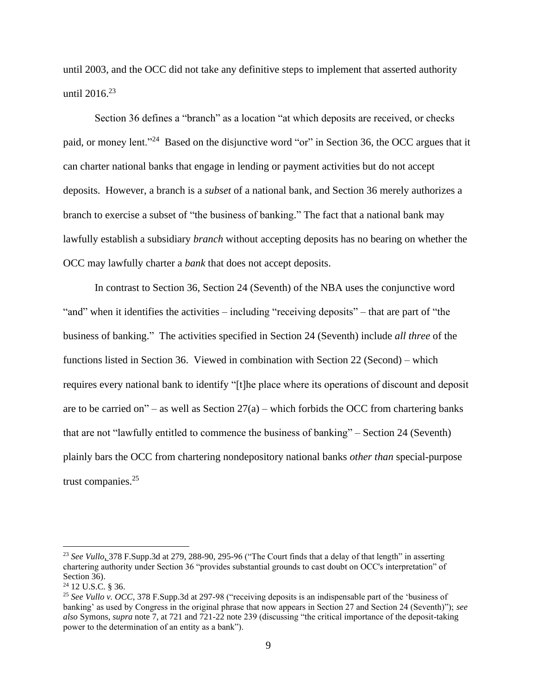until 2003, and the OCC did not take any definitive steps to implement that asserted authority until 2016. 23

Section 36 defines a "branch" as a location "at which deposits are received, or checks paid, or money lent."<sup>24</sup> Based on the disjunctive word "or" in Section 36, the OCC argues that it can charter national banks that engage in lending or payment activities but do not accept deposits. However, a branch is a *subset* of a national bank, and Section 36 merely authorizes a branch to exercise a subset of "the business of banking." The fact that a national bank may lawfully establish a subsidiary *branch* without accepting deposits has no bearing on whether the OCC may lawfully charter a *bank* that does not accept deposits.

In contrast to Section 36, Section 24 (Seventh) of the NBA uses the conjunctive word "and" when it identifies the activities – including "receiving deposits" – that are part of "the business of banking." The activities specified in Section 24 (Seventh) include *all three* of the functions listed in Section 36. Viewed in combination with Section 22 (Second) – which requires every national bank to identify "[t]he place where its operations of discount and deposit are to be carried on" – as well as Section  $27(a)$  – which forbids the OCC from chartering banks that are not "lawfully entitled to commence the business of banking" – Section 24 (Seventh) plainly bars the OCC from chartering nondepository national banks *other than* special-purpose trust companies.<sup>25</sup>

<sup>23</sup> *See Vullo*, 378 F.Supp.3d at 279, 288-90, 295-96 ("The Court finds that a delay of that length" in asserting chartering authority under Section 36 "provides substantial grounds to cast doubt on OCC's interpretation" of Section 36).

<sup>24</sup> 12 U.S.C. § 36.

<sup>25</sup> *See Vullo v. OCC*, 378 F.Supp.3d at 297-98 ("receiving deposits is an indispensable part of the 'business of banking' as used by Congress in the original phrase that now appears in Section 27 and Section 24 (Seventh)"); *see also* Symons, *supra* note 7, at 721 and 721-22 note 239 (discussing "the critical importance of the deposit-taking power to the determination of an entity as a bank").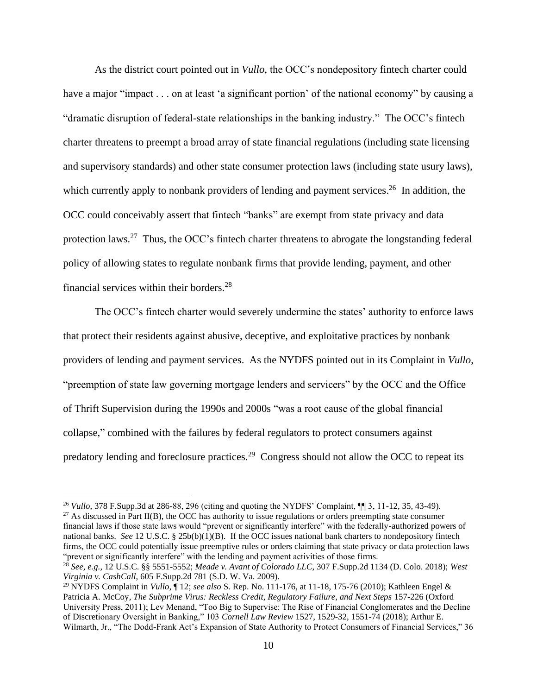As the district court pointed out in *Vullo*, the OCC's nondepository fintech charter could have a major "impact . . . on at least 'a significant portion' of the national economy" by causing a "dramatic disruption of federal-state relationships in the banking industry." The OCC's fintech charter threatens to preempt a broad array of state financial regulations (including state licensing and supervisory standards) and other state consumer protection laws (including state usury laws), which currently apply to nonbank providers of lending and payment services.<sup>26</sup> In addition, the OCC could conceivably assert that fintech "banks" are exempt from state privacy and data protection laws.<sup>27</sup> Thus, the OCC's fintech charter threatens to abrogate the longstanding federal policy of allowing states to regulate nonbank firms that provide lending, payment, and other financial services within their borders.<sup>28</sup>

The OCC's fintech charter would severely undermine the states' authority to enforce laws that protect their residents against abusive, deceptive, and exploitative practices by nonbank providers of lending and payment services. As the NYDFS pointed out in its Complaint in *Vullo*, "preemption of state law governing mortgage lenders and servicers" by the OCC and the Office of Thrift Supervision during the 1990s and 2000s "was a root cause of the global financial collapse," combined with the failures by federal regulators to protect consumers against predatory lending and foreclosure practices.<sup>29</sup> Congress should not allow the OCC to repeat its

 $27$  As discussed in Part II(B), the OCC has authority to issue regulations or orders preempting state consumer financial laws if those state laws would "prevent or significantly interfere" with the federally-authorized powers of national banks. *See* 12 U.S.C. § 25b(b)(1)(B). If the OCC issues national bank charters to nondepository fintech firms, the OCC could potentially issue preemptive rules or orders claiming that state privacy or data protection laws "prevent or significantly interfere" with the lending and payment activities of those firms.

<sup>26</sup> *Vullo*, 378 F.Supp.3d at 286-88, 296 (citing and quoting the NYDFS' Complaint, ¶¶ 3, 11-12, 35, 43-49).

<sup>28</sup> *See, e.g.,* 12 U.S.C. §§ 5551-5552; *Meade v. Avant of Colorado LLC*, 307 F.Supp.2d 1134 (D. Colo. 2018); *West Virginia v. CashCall*, 605 F.Supp.2d 781 (S.D. W. Va. 2009).

<sup>29</sup> NYDFS Complaint in *Vullo*, ¶ 12; *see also* S. Rep. No. 111-176, at 11-18, 175-76 (2010); Kathleen Engel & Patricia A. McCoy, *The Subprime Virus: Reckless Credit, Regulatory Failure, and Next Steps* 157-226 (Oxford University Press, 2011); Lev Menand, "Too Big to Supervise: The Rise of Financial Conglomerates and the Decline of Discretionary Oversight in Banking," 103 *Cornell Law Review* 1527, 1529-32, 1551-74 (2018); Arthur E. Wilmarth, Jr., "The Dodd-Frank Act's Expansion of State Authority to Protect Consumers of Financial Services," 36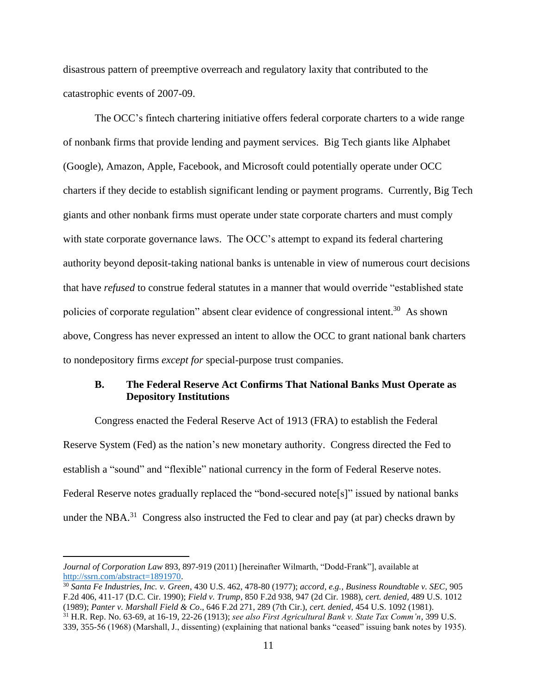disastrous pattern of preemptive overreach and regulatory laxity that contributed to the catastrophic events of 2007-09.

The OCC's fintech chartering initiative offers federal corporate charters to a wide range of nonbank firms that provide lending and payment services. Big Tech giants like Alphabet (Google), Amazon, Apple, Facebook, and Microsoft could potentially operate under OCC charters if they decide to establish significant lending or payment programs. Currently, Big Tech giants and other nonbank firms must operate under state corporate charters and must comply with state corporate governance laws. The OCC's attempt to expand its federal chartering authority beyond deposit-taking national banks is untenable in view of numerous court decisions that have *refused* to construe federal statutes in a manner that would override "established state policies of corporate regulation" absent clear evidence of congressional intent.<sup>30</sup> As shown above, Congress has never expressed an intent to allow the OCC to grant national bank charters to nondepository firms *except for* special-purpose trust companies.

### **B. The Federal Reserve Act Confirms That National Banks Must Operate as Depository Institutions**

Congress enacted the Federal Reserve Act of 1913 (FRA) to establish the Federal Reserve System (Fed) as the nation's new monetary authority. Congress directed the Fed to establish a "sound" and "flexible" national currency in the form of Federal Reserve notes. Federal Reserve notes gradually replaced the "bond-secured note<sup>[5]"</sup> issued by national banks under the NBA.<sup>31</sup> Congress also instructed the Fed to clear and pay (at par) checks drawn by

*Journal of Corporation Law* 893, 897-919 (2011) [hereinafter Wilmarth, "Dodd-Frank"], available at [http://ssrn.com/abstract=1891970.](http://ssrn.com/abstract=1891970)

<sup>30</sup> *Santa Fe Industries, Inc. v. Green*, 430 U.S. 462, 478-80 (1977); *accord, e.g., Business Roundtable v. SEC*, 905 F.2d 406, 411-17 (D.C. Cir. 1990); *Field v. Trump*, 850 F.2d 938, 947 (2d Cir. 1988), *cert. denied,* 489 U.S. 1012 (1989); *Panter v. Marshall Field & Co*., 646 F.2d 271, 289 (7th Cir.), *cert. denied*, 454 U.S. 1092 (1981).

<sup>31</sup> H.R. Rep. No. 63-69, at 16-19, 22-26 (1913); *see also First Agricultural Bank v. State Tax Comm'n*, 399 U.S. 339, 355-56 (1968) (Marshall, J., dissenting) (explaining that national banks "ceased" issuing bank notes by 1935).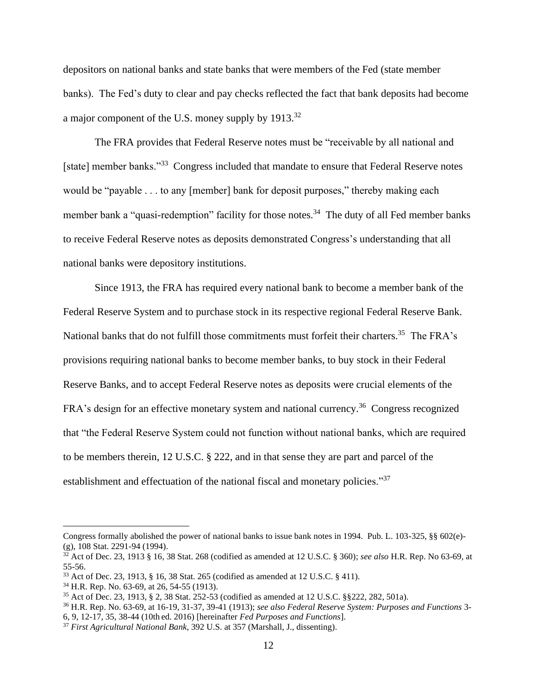depositors on national banks and state banks that were members of the Fed (state member banks). The Fed's duty to clear and pay checks reflected the fact that bank deposits had become a major component of the U.S. money supply by 1913.<sup>32</sup>

The FRA provides that Federal Reserve notes must be "receivable by all national and [state] member banks."<sup>33</sup> Congress included that mandate to ensure that Federal Reserve notes would be "payable . . . to any [member] bank for deposit purposes," thereby making each member bank a "quasi-redemption" facility for those notes.<sup>34</sup> The duty of all Fed member banks to receive Federal Reserve notes as deposits demonstrated Congress's understanding that all national banks were depository institutions.

Since 1913, the FRA has required every national bank to become a member bank of the Federal Reserve System and to purchase stock in its respective regional Federal Reserve Bank. National banks that do not fulfill those commitments must forfeit their charters.<sup>35</sup> The FRA's provisions requiring national banks to become member banks, to buy stock in their Federal Reserve Banks, and to accept Federal Reserve notes as deposits were crucial elements of the FRA's design for an effective monetary system and national currency.<sup>36</sup> Congress recognized that "the Federal Reserve System could not function without national banks, which are required to be members therein, 12 U.S.C. § 222, and in that sense they are part and parcel of the establishment and effectuation of the national fiscal and monetary policies."<sup>37</sup>

Congress formally abolished the power of national banks to issue bank notes in 1994. Pub. L. 103-325, §§ 602(e)- (g), 108 Stat. 2291-94 (1994).

<sup>32</sup> Act of Dec. 23, 1913 § 16, 38 Stat. 268 (codified as amended at 12 U.S.C. § 360); *see also* H.R. Rep. No 63-69, at 55-56.

<sup>33</sup> Act of Dec. 23, 1913, § 16, 38 Stat. 265 (codified as amended at 12 U.S.C. § 411).

<sup>34</sup> H.R. Rep. No. 63-69, at 26, 54-55 (1913).

<sup>35</sup> Act of Dec. 23, 1913, § 2, 38 Stat. 252-53 (codified as amended at 12 U.S.C. §§222, 282, 501a).

<sup>36</sup> H.R. Rep. No. 63-69, at 16-19, 31-37, 39-41 (1913); *see also Federal Reserve System: Purposes and Functions* 3- 6, 9, 12-17, 35, 38-44 (10th ed. 2016) [hereinafter *Fed Purposes and Functions*].

<sup>37</sup> *First Agricultural National Bank*, 392 U.S. at 357 (Marshall, J., dissenting).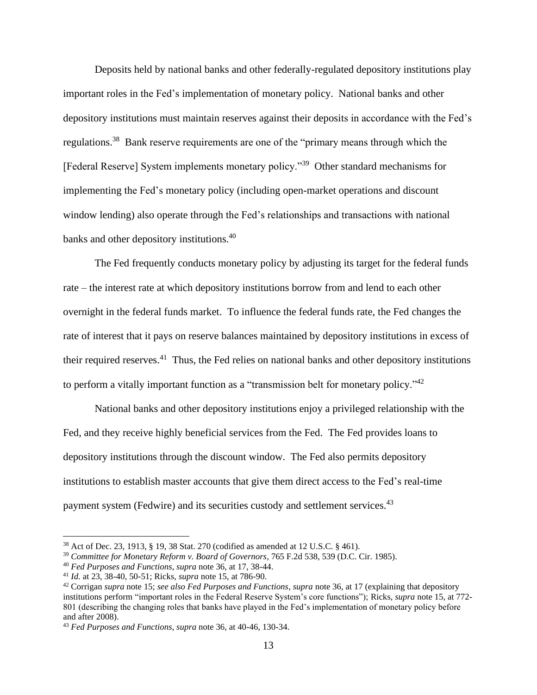Deposits held by national banks and other federally-regulated depository institutions play important roles in the Fed's implementation of monetary policy. National banks and other depository institutions must maintain reserves against their deposits in accordance with the Fed's regulations.<sup>38</sup> Bank reserve requirements are one of the "primary means through which the [Federal Reserve] System implements monetary policy."<sup>39</sup> Other standard mechanisms for implementing the Fed's monetary policy (including open-market operations and discount window lending) also operate through the Fed's relationships and transactions with national banks and other depository institutions.<sup>40</sup>

The Fed frequently conducts monetary policy by adjusting its target for the federal funds rate – the interest rate at which depository institutions borrow from and lend to each other overnight in the federal funds market. To influence the federal funds rate, the Fed changes the rate of interest that it pays on reserve balances maintained by depository institutions in excess of their required reserves.<sup>41</sup> Thus, the Fed relies on national banks and other depository institutions to perform a vitally important function as a "transmission belt for monetary policy." $42$ 

National banks and other depository institutions enjoy a privileged relationship with the Fed, and they receive highly beneficial services from the Fed. The Fed provides loans to depository institutions through the discount window. The Fed also permits depository institutions to establish master accounts that give them direct access to the Fed's real-time payment system (Fedwire) and its securities custody and settlement services.<sup>43</sup>

<sup>38</sup> Act of Dec. 23, 1913, § 19, 38 Stat. 270 (codified as amended at 12 U.S.C. § 461).

<sup>39</sup> *Committee for Monetary Reform v. Board of Governors*, 765 F.2d 538, 539 (D.C. Cir. 1985).

<sup>40</sup> *Fed Purposes and Functions*, *supra* note 36, at 17, 38-44.

<sup>41</sup> *Id.* at 23, 38-40, 50-51; Ricks, *supra* note 15, at 786-90.

<sup>42</sup> Corrigan *supra* note 15; *see also Fed Purposes and Functions*, *supra* note 36, at 17 (explaining that depository institutions perform "important roles in the Federal Reserve System's core functions"); Ricks, *supra* note 15, at 772- 801 (describing the changing roles that banks have played in the Fed's implementation of monetary policy before and after 2008).

<sup>43</sup> *Fed Purposes and Functions*, *supra* note 36, at 40-46, 130-34.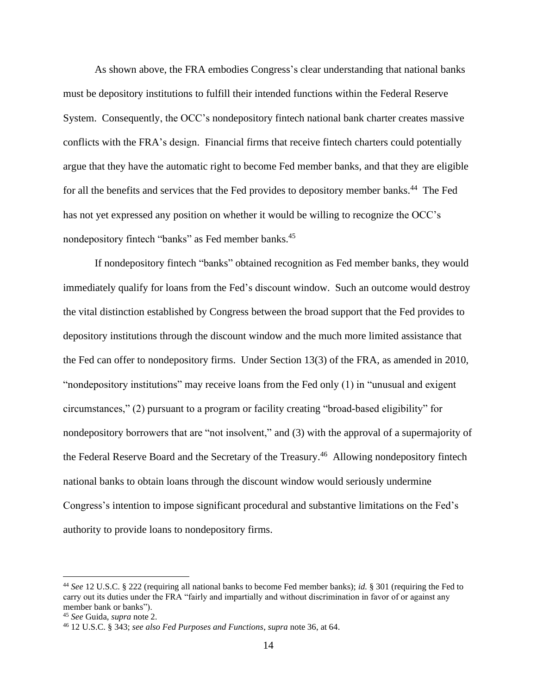As shown above, the FRA embodies Congress's clear understanding that national banks must be depository institutions to fulfill their intended functions within the Federal Reserve System. Consequently, the OCC's nondepository fintech national bank charter creates massive conflicts with the FRA's design. Financial firms that receive fintech charters could potentially argue that they have the automatic right to become Fed member banks, and that they are eligible for all the benefits and services that the Fed provides to depository member banks.<sup>44</sup> The Fed has not yet expressed any position on whether it would be willing to recognize the OCC's nondepository fintech "banks" as Fed member banks.<sup>45</sup>

If nondepository fintech "banks" obtained recognition as Fed member banks, they would immediately qualify for loans from the Fed's discount window. Such an outcome would destroy the vital distinction established by Congress between the broad support that the Fed provides to depository institutions through the discount window and the much more limited assistance that the Fed can offer to nondepository firms. Under Section 13(3) of the FRA, as amended in 2010, "nondepository institutions" may receive loans from the Fed only (1) in "unusual and exigent circumstances," (2) pursuant to a program or facility creating "broad-based eligibility" for nondepository borrowers that are "not insolvent," and (3) with the approval of a supermajority of the Federal Reserve Board and the Secretary of the Treasury.<sup>46</sup> Allowing nondepository fintech national banks to obtain loans through the discount window would seriously undermine Congress's intention to impose significant procedural and substantive limitations on the Fed's authority to provide loans to nondepository firms.

<sup>44</sup> *See* 12 U.S.C. § 222 (requiring all national banks to become Fed member banks); *id.* § 301 (requiring the Fed to carry out its duties under the FRA "fairly and impartially and without discrimination in favor of or against any member bank or banks").

<sup>45</sup> *See* Guida, *supra* note 2.

<sup>46</sup> 12 U.S.C. § 343; *see also Fed Purposes and Functions*, *supra* note 36, at 64.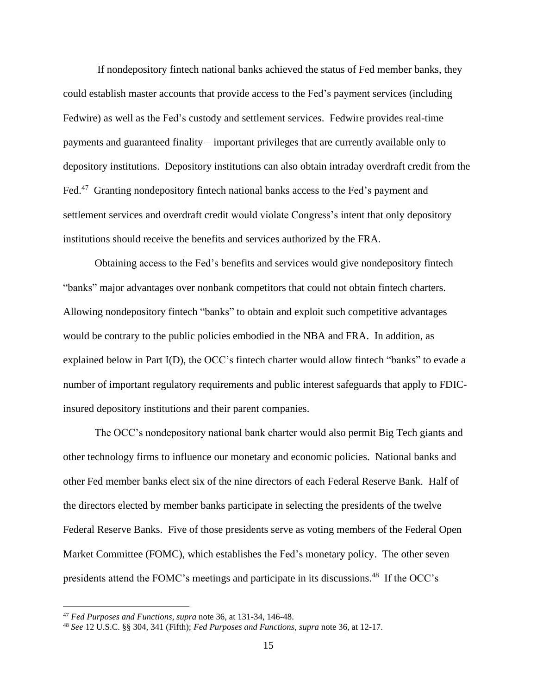If nondepository fintech national banks achieved the status of Fed member banks, they could establish master accounts that provide access to the Fed's payment services (including Fedwire) as well as the Fed's custody and settlement services. Fedwire provides real-time payments and guaranteed finality – important privileges that are currently available only to depository institutions. Depository institutions can also obtain intraday overdraft credit from the Fed.<sup>47</sup> Granting nondepository fintech national banks access to the Fed's payment and settlement services and overdraft credit would violate Congress's intent that only depository institutions should receive the benefits and services authorized by the FRA.

Obtaining access to the Fed's benefits and services would give nondepository fintech "banks" major advantages over nonbank competitors that could not obtain fintech charters. Allowing nondepository fintech "banks" to obtain and exploit such competitive advantages would be contrary to the public policies embodied in the NBA and FRA. In addition, as explained below in Part I(D), the OCC's fintech charter would allow fintech "banks" to evade a number of important regulatory requirements and public interest safeguards that apply to FDICinsured depository institutions and their parent companies.

The OCC's nondepository national bank charter would also permit Big Tech giants and other technology firms to influence our monetary and economic policies. National banks and other Fed member banks elect six of the nine directors of each Federal Reserve Bank. Half of the directors elected by member banks participate in selecting the presidents of the twelve Federal Reserve Banks. Five of those presidents serve as voting members of the Federal Open Market Committee (FOMC), which establishes the Fed's monetary policy. The other seven presidents attend the FOMC's meetings and participate in its discussions.<sup>48</sup> If the OCC's

<sup>47</sup> *Fed Purposes and Functions*, *supra* note 36, at 131-34, 146-48.

<sup>48</sup> *See* 12 U.S.C. §§ 304, 341 (Fifth); *Fed Purposes and Functions*, *supra* note 36, at 12-17.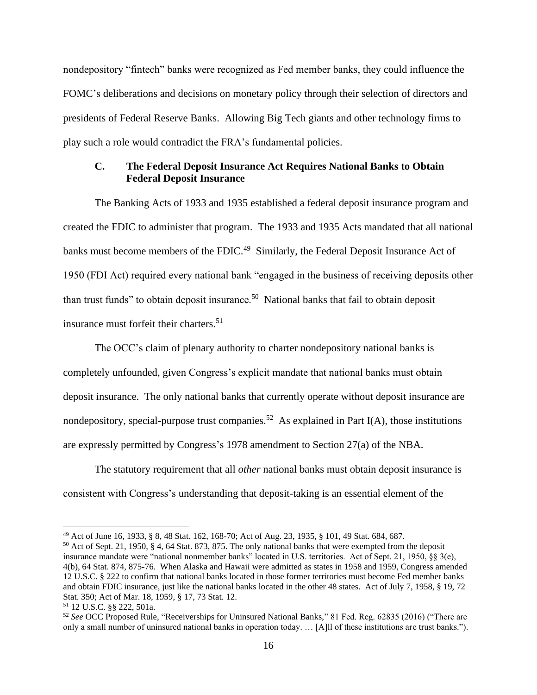nondepository "fintech" banks were recognized as Fed member banks, they could influence the FOMC's deliberations and decisions on monetary policy through their selection of directors and presidents of Federal Reserve Banks. Allowing Big Tech giants and other technology firms to play such a role would contradict the FRA's fundamental policies.

### **C. The Federal Deposit Insurance Act Requires National Banks to Obtain Federal Deposit Insurance**

The Banking Acts of 1933 and 1935 established a federal deposit insurance program and created the FDIC to administer that program. The 1933 and 1935 Acts mandated that all national banks must become members of the FDIC.<sup>49</sup> Similarly, the Federal Deposit Insurance Act of 1950 (FDI Act) required every national bank "engaged in the business of receiving deposits other than trust funds" to obtain deposit insurance.<sup>50</sup> National banks that fail to obtain deposit insurance must forfeit their charters. 51

The OCC's claim of plenary authority to charter nondepository national banks is completely unfounded, given Congress's explicit mandate that national banks must obtain deposit insurance. The only national banks that currently operate without deposit insurance are nondepository, special-purpose trust companies.<sup>52</sup> As explained in Part I(A), those institutions are expressly permitted by Congress's 1978 amendment to Section 27(a) of the NBA.

The statutory requirement that all *other* national banks must obtain deposit insurance is consistent with Congress's understanding that deposit-taking is an essential element of the

<sup>49</sup> Act of June 16, 1933, § 8, 48 Stat. 162, 168-70; Act of Aug. 23, 1935, § 101, 49 Stat. 684, 687.

<sup>50</sup> Act of Sept. 21, 1950, § 4, 64 Stat. 873, 875. The only national banks that were exempted from the deposit insurance mandate were "national nonmember banks" located in U.S. territories. Act of Sept. 21, 1950, §§ 3(e), 4(b), 64 Stat. 874, 875-76. When Alaska and Hawaii were admitted as states in 1958 and 1959, Congress amended 12 U.S.C. § 222 to confirm that national banks located in those former territories must become Fed member banks and obtain FDIC insurance, just like the national banks located in the other 48 states. Act of July 7, 1958, § 19, 72 Stat. 350; Act of Mar. 18, 1959, § 17, 73 Stat. 12.

<sup>51</sup> 12 U.S.C. §§ 222, 501a.

<sup>52</sup> *See* OCC Proposed Rule, "Receiverships for Uninsured National Banks," 81 Fed. Reg. 62835 (2016) ("There are only a small number of uninsured national banks in operation today. … [A]ll of these institutions are trust banks.").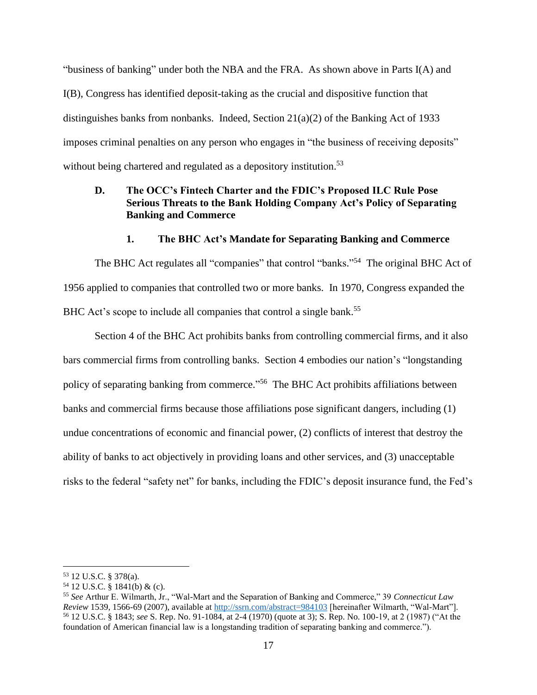"business of banking" under both the NBA and the FRA. As shown above in Parts I(A) and I(B), Congress has identified deposit-taking as the crucial and dispositive function that distinguishes banks from nonbanks. Indeed, Section  $21(a)(2)$  of the Banking Act of 1933 imposes criminal penalties on any person who engages in "the business of receiving deposits" without being chartered and regulated as a depository institution.<sup>53</sup>

### **D. The OCC's Fintech Charter and the FDIC's Proposed ILC Rule Pose Serious Threats to the Bank Holding Company Act's Policy of Separating Banking and Commerce**

#### **1. The BHC Act's Mandate for Separating Banking and Commerce**

The BHC Act regulates all "companies" that control "banks."<sup>54</sup> The original BHC Act of 1956 applied to companies that controlled two or more banks. In 1970, Congress expanded the BHC Act's scope to include all companies that control a single bank.<sup>55</sup>

Section 4 of the BHC Act prohibits banks from controlling commercial firms, and it also bars commercial firms from controlling banks. Section 4 embodies our nation's "longstanding policy of separating banking from commerce."<sup>56</sup> The BHC Act prohibits affiliations between banks and commercial firms because those affiliations pose significant dangers, including (1) undue concentrations of economic and financial power, (2) conflicts of interest that destroy the ability of banks to act objectively in providing loans and other services, and (3) unacceptable risks to the federal "safety net" for banks, including the FDIC's deposit insurance fund, the Fed's

<sup>53</sup> 12 U.S.C. § 378(a).

<sup>54</sup> 12 U.S.C. § 1841(b) & (c).

<sup>55</sup> *See* Arthur E. Wilmarth, Jr., "Wal-Mart and the Separation of Banking and Commerce," 39 *Connecticut Law Review* 1539, 1566-69 (2007), available at<http://ssrn.com/abstract=984103> [hereinafter Wilmarth, "Wal-Mart"]. <sup>56</sup> 12 U.S.C. § 1843; *see* S. Rep. No. 91-1084, at 2-4 (1970) (quote at 3); S. Rep. No. 100-19, at 2 (1987) ("At the foundation of American financial law is a longstanding tradition of separating banking and commerce.").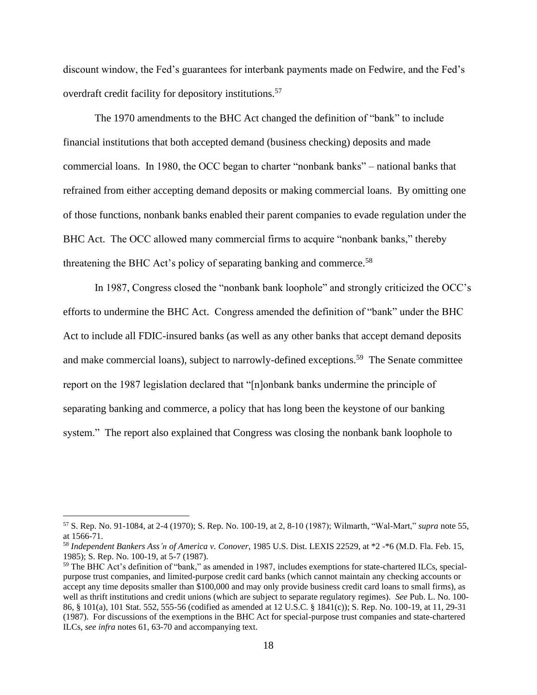discount window, the Fed's guarantees for interbank payments made on Fedwire, and the Fed's overdraft credit facility for depository institutions.<sup>57</sup>

The 1970 amendments to the BHC Act changed the definition of "bank" to include financial institutions that both accepted demand (business checking) deposits and made commercial loans. In 1980, the OCC began to charter "nonbank banks" – national banks that refrained from either accepting demand deposits or making commercial loans. By omitting one of those functions, nonbank banks enabled their parent companies to evade regulation under the BHC Act. The OCC allowed many commercial firms to acquire "nonbank banks," thereby threatening the BHC Act's policy of separating banking and commerce.<sup>58</sup>

In 1987, Congress closed the "nonbank bank loophole" and strongly criticized the OCC's efforts to undermine the BHC Act. Congress amended the definition of "bank" under the BHC Act to include all FDIC-insured banks (as well as any other banks that accept demand deposits and make commercial loans), subject to narrowly-defined exceptions.<sup>59</sup> The Senate committee report on the 1987 legislation declared that "[n]onbank banks undermine the principle of separating banking and commerce, a policy that has long been the keystone of our banking system." The report also explained that Congress was closing the nonbank bank loophole to

<sup>57</sup> S. Rep. No. 91-1084, at 2-4 (1970); S. Rep. No. 100-19, at 2, 8-10 (1987); Wilmarth, "Wal-Mart," *supra* note 55, at 1566-71.

<sup>58</sup> *Independent Bankers Ass'n of America v. Conover*, 1985 U.S. Dist. LEXIS 22529, at \*2 -\*6 (M.D. Fla. Feb. 15, 1985); S. Rep. No. 100-19, at 5-7 (1987).

<sup>59</sup> The BHC Act's definition of "bank," as amended in 1987, includes exemptions for state-chartered ILCs, specialpurpose trust companies, and limited-purpose credit card banks (which cannot maintain any checking accounts or accept any time deposits smaller than \$100,000 and may only provide business credit card loans to small firms), as well as thrift institutions and credit unions (which are subject to separate regulatory regimes). *See* Pub. L. No. 100- 86, § 101(a), 101 Stat. 552, 555-56 (codified as amended at 12 U.S.C. § 1841(c)); S. Rep. No. 100-19, at 11, 29-31 (1987). For discussions of the exemptions in the BHC Act for special-purpose trust companies and state-chartered ILCs, *see infra* notes 61, 63-70 and accompanying text.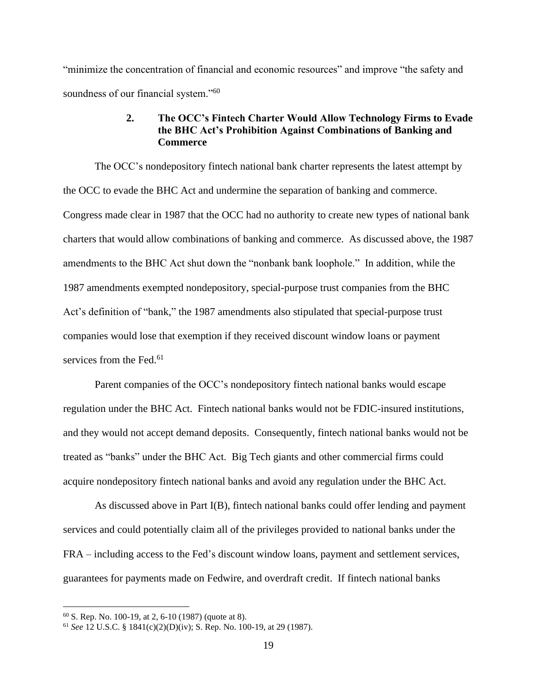"minimize the concentration of financial and economic resources" and improve "the safety and soundness of our financial system."<sup>60</sup>

### **2. The OCC's Fintech Charter Would Allow Technology Firms to Evade the BHC Act's Prohibition Against Combinations of Banking and Commerce**

The OCC's nondepository fintech national bank charter represents the latest attempt by the OCC to evade the BHC Act and undermine the separation of banking and commerce. Congress made clear in 1987 that the OCC had no authority to create new types of national bank charters that would allow combinations of banking and commerce. As discussed above, the 1987 amendments to the BHC Act shut down the "nonbank bank loophole." In addition, while the 1987 amendments exempted nondepository, special-purpose trust companies from the BHC Act's definition of "bank," the 1987 amendments also stipulated that special-purpose trust companies would lose that exemption if they received discount window loans or payment services from the Fed.<sup>61</sup>

Parent companies of the OCC's nondepository fintech national banks would escape regulation under the BHC Act. Fintech national banks would not be FDIC-insured institutions, and they would not accept demand deposits. Consequently, fintech national banks would not be treated as "banks" under the BHC Act. Big Tech giants and other commercial firms could acquire nondepository fintech national banks and avoid any regulation under the BHC Act.

As discussed above in Part I(B), fintech national banks could offer lending and payment services and could potentially claim all of the privileges provided to national banks under the FRA – including access to the Fed's discount window loans, payment and settlement services, guarantees for payments made on Fedwire, and overdraft credit. If fintech national banks

<sup>60</sup> S. Rep. No. 100-19, at 2, 6-10 (1987) (quote at 8).

<sup>61</sup> *See* 12 U.S.C. § 1841(c)(2)(D)(iv); S. Rep. No. 100-19, at 29 (1987).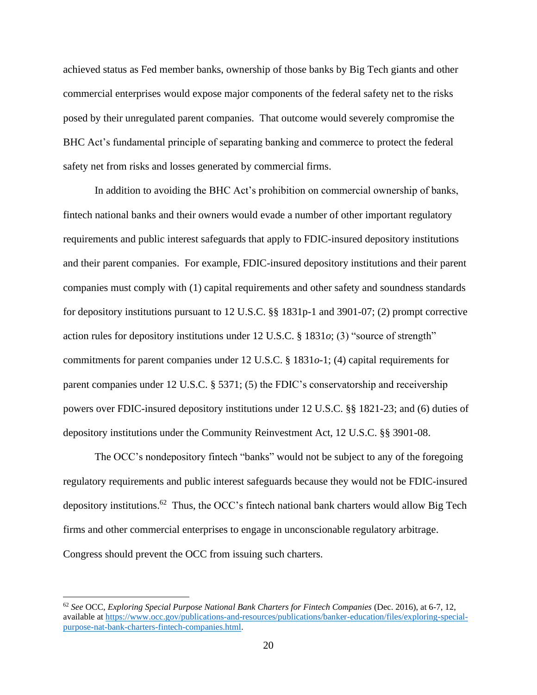achieved status as Fed member banks, ownership of those banks by Big Tech giants and other commercial enterprises would expose major components of the federal safety net to the risks posed by their unregulated parent companies. That outcome would severely compromise the BHC Act's fundamental principle of separating banking and commerce to protect the federal safety net from risks and losses generated by commercial firms.

In addition to avoiding the BHC Act's prohibition on commercial ownership of banks, fintech national banks and their owners would evade a number of other important regulatory requirements and public interest safeguards that apply to FDIC-insured depository institutions and their parent companies. For example, FDIC-insured depository institutions and their parent companies must comply with (1) capital requirements and other safety and soundness standards for depository institutions pursuant to 12 U.S.C. §§ 1831p-1 and 3901-07; (2) prompt corrective action rules for depository institutions under 12 U.S.C. § 1831*o*; (3) "source of strength" commitments for parent companies under 12 U.S.C. § 1831*o*-1; (4) capital requirements for parent companies under 12 U.S.C. § 5371; (5) the FDIC's conservatorship and receivership powers over FDIC-insured depository institutions under 12 U.S.C. §§ 1821-23; and (6) duties of depository institutions under the Community Reinvestment Act, 12 U.S.C. §§ 3901-08.

The OCC's nondepository fintech "banks" would not be subject to any of the foregoing regulatory requirements and public interest safeguards because they would not be FDIC-insured depository institutions.<sup>62</sup> Thus, the OCC's fintech national bank charters would allow Big Tech firms and other commercial enterprises to engage in unconscionable regulatory arbitrage. Congress should prevent the OCC from issuing such charters.

<sup>62</sup> *See* OCC, *Exploring Special Purpose National Bank Charters for Fintech Companies* (Dec. 2016), at 6-7, 12, available at [https://www.occ.gov/publications-and-resources/publications/banker-education/files/exploring-special](https://www.occ.gov/publications-and-resources/publications/banker-education/files/exploring-special-purpose-nat-bank-charters-fintech-companies.html)[purpose-nat-bank-charters-fintech-companies.html.](https://www.occ.gov/publications-and-resources/publications/banker-education/files/exploring-special-purpose-nat-bank-charters-fintech-companies.html)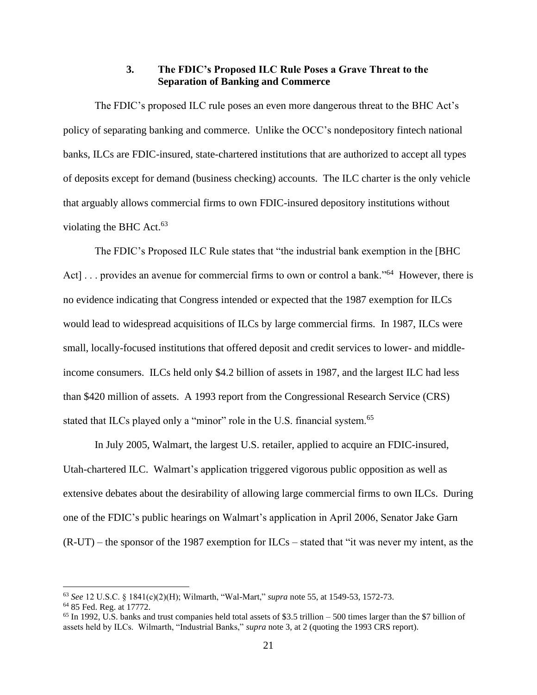#### **3. The FDIC's Proposed ILC Rule Poses a Grave Threat to the Separation of Banking and Commerce**

The FDIC's proposed ILC rule poses an even more dangerous threat to the BHC Act's policy of separating banking and commerce. Unlike the OCC's nondepository fintech national banks, ILCs are FDIC-insured, state-chartered institutions that are authorized to accept all types of deposits except for demand (business checking) accounts. The ILC charter is the only vehicle that arguably allows commercial firms to own FDIC-insured depository institutions without violating the BHC Act. $63$ 

The FDIC's Proposed ILC Rule states that "the industrial bank exemption in the [BHC Act]... provides an avenue for commercial firms to own or control a bank."<sup>64</sup> However, there is no evidence indicating that Congress intended or expected that the 1987 exemption for ILCs would lead to widespread acquisitions of ILCs by large commercial firms. In 1987, ILCs were small, locally-focused institutions that offered deposit and credit services to lower- and middleincome consumers. ILCs held only \$4.2 billion of assets in 1987, and the largest ILC had less than \$420 million of assets. A 1993 report from the Congressional Research Service (CRS) stated that ILCs played only a "minor" role in the U.S. financial system.<sup>65</sup>

In July 2005, Walmart, the largest U.S. retailer, applied to acquire an FDIC-insured, Utah-chartered ILC. Walmart's application triggered vigorous public opposition as well as extensive debates about the desirability of allowing large commercial firms to own ILCs. During one of the FDIC's public hearings on Walmart's application in April 2006, Senator Jake Garn (R-UT) – the sponsor of the 1987 exemption for ILCs – stated that "it was never my intent, as the

<sup>63</sup> *See* 12 U.S.C. § 1841(c)(2)(H); Wilmarth, "Wal-Mart," *supra* note 55, at 1549-53, 1572-73.

<sup>64</sup> 85 Fed. Reg. at 17772.

 $65$  In 1992, U.S. banks and trust companies held total assets of \$3.5 trillion – 500 times larger than the \$7 billion of assets held by ILCs. Wilmarth, "Industrial Banks," *supra* note 3, at 2 (quoting the 1993 CRS report).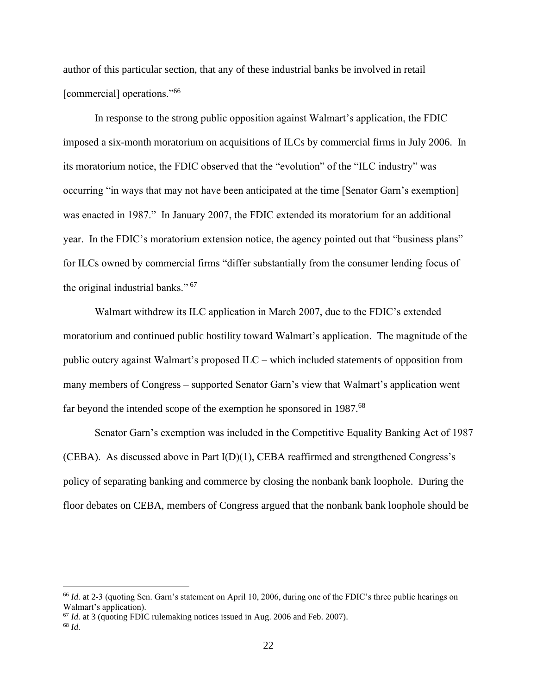author of this particular section, that any of these industrial banks be involved in retail [commercial] operations."<sup>66</sup>

In response to the strong public opposition against Walmart's application, the FDIC imposed a six-month moratorium on acquisitions of ILCs by commercial firms in July 2006. In its moratorium notice, the FDIC observed that the "evolution" of the "ILC industry" was occurring "in ways that may not have been anticipated at the time [Senator Garn's exemption] was enacted in 1987." In January 2007, the FDIC extended its moratorium for an additional year. In the FDIC's moratorium extension notice, the agency pointed out that "business plans" for ILCs owned by commercial firms "differ substantially from the consumer lending focus of the original industrial banks." <sup>67</sup>

Walmart withdrew its ILC application in March 2007, due to the FDIC's extended moratorium and continued public hostility toward Walmart's application. The magnitude of the public outcry against Walmart's proposed ILC – which included statements of opposition from many members of Congress – supported Senator Garn's view that Walmart's application went far beyond the intended scope of the exemption he sponsored in 1987.<sup>68</sup>

Senator Garn's exemption was included in the Competitive Equality Banking Act of 1987 (CEBA). As discussed above in Part I(D)(1), CEBA reaffirmed and strengthened Congress's policy of separating banking and commerce by closing the nonbank bank loophole. During the floor debates on CEBA, members of Congress argued that the nonbank bank loophole should be

<sup>66</sup> *Id.* at 2-3 (quoting Sen. Garn's statement on April 10, 2006, during one of the FDIC's three public hearings on Walmart's application).

<sup>67</sup> *Id.* at 3 (quoting FDIC rulemaking notices issued in Aug. 2006 and Feb. 2007).

<sup>68</sup> *Id.*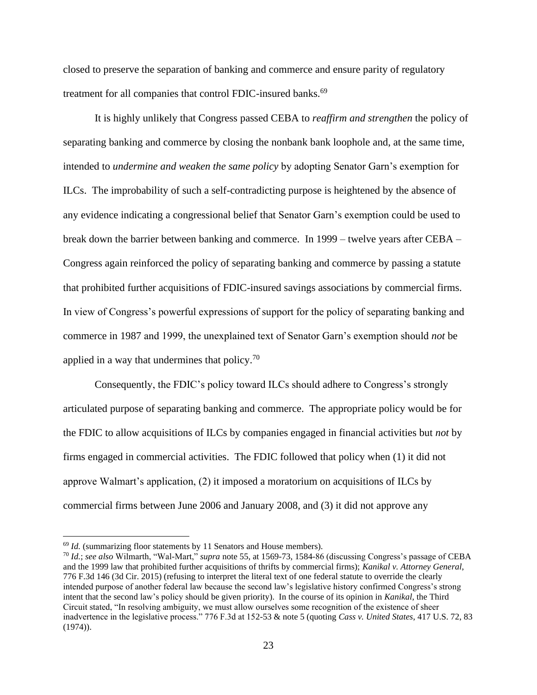closed to preserve the separation of banking and commerce and ensure parity of regulatory treatment for all companies that control FDIC-insured banks.<sup>69</sup>

It is highly unlikely that Congress passed CEBA to *reaffirm and strengthen* the policy of separating banking and commerce by closing the nonbank bank loophole and, at the same time, intended to *undermine and weaken the same policy* by adopting Senator Garn's exemption for ILCs. The improbability of such a self-contradicting purpose is heightened by the absence of any evidence indicating a congressional belief that Senator Garn's exemption could be used to break down the barrier between banking and commerce. In 1999 – twelve years after CEBA – Congress again reinforced the policy of separating banking and commerce by passing a statute that prohibited further acquisitions of FDIC-insured savings associations by commercial firms. In view of Congress's powerful expressions of support for the policy of separating banking and commerce in 1987 and 1999, the unexplained text of Senator Garn's exemption should *not* be applied in a way that undermines that policy. $70$ 

Consequently, the FDIC's policy toward ILCs should adhere to Congress's strongly articulated purpose of separating banking and commerce. The appropriate policy would be for the FDIC to allow acquisitions of ILCs by companies engaged in financial activities but *not* by firms engaged in commercial activities. The FDIC followed that policy when (1) it did not approve Walmart's application, (2) it imposed a moratorium on acquisitions of ILCs by commercial firms between June 2006 and January 2008, and (3) it did not approve any

<sup>&</sup>lt;sup>69</sup> *Id.* (summarizing floor statements by 11 Senators and House members).

<sup>70</sup> *Id.*; *see also* Wilmarth, "Wal-Mart," *supra* note 55, at 1569-73, 1584-86 (discussing Congress's passage of CEBA and the 1999 law that prohibited further acquisitions of thrifts by commercial firms); *Kanikal v. Attorney General*, 776 F.3d 146 (3d Cir. 2015) (refusing to interpret the literal text of one federal statute to override the clearly intended purpose of another federal law because the second law's legislative history confirmed Congress's strong intent that the second law's policy should be given priority). In the course of its opinion in *Kanikal*, the Third Circuit stated, "In resolving ambiguity, we must allow ourselves some recognition of the existence of sheer inadvertence in the legislative process." 776 F.3d at 152-53 & note 5 (quoting *Cass v. United States*, 417 U.S. 72, 83 (1974)).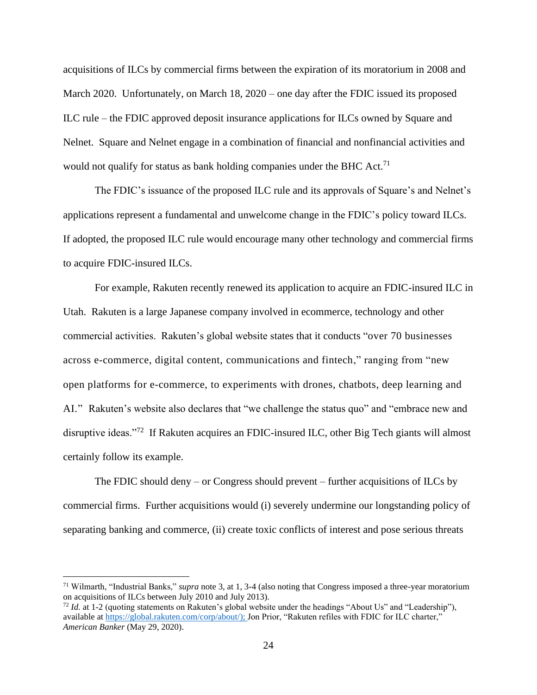acquisitions of ILCs by commercial firms between the expiration of its moratorium in 2008 and March 2020. Unfortunately, on March 18, 2020 – one day after the FDIC issued its proposed ILC rule – the FDIC approved deposit insurance applications for ILCs owned by Square and Nelnet. Square and Nelnet engage in a combination of financial and nonfinancial activities and would not qualify for status as bank holding companies under the BHC Act.<sup>71</sup>

The FDIC's issuance of the proposed ILC rule and its approvals of Square's and Nelnet's applications represent a fundamental and unwelcome change in the FDIC's policy toward ILCs. If adopted, the proposed ILC rule would encourage many other technology and commercial firms to acquire FDIC-insured ILCs.

For example, Rakuten recently renewed its application to acquire an FDIC-insured ILC in Utah. Rakuten is a large Japanese company involved in ecommerce, technology and other commercial activities. Rakuten's global website states that it conducts "over 70 businesses across e-commerce, digital content, communications and fintech," ranging from "new open platforms for e-commerce, to experiments with drones, chatbots, deep learning and AI." Rakuten's website also declares that "we challenge the status quo" and "embrace new and disruptive ideas."<sup>72</sup> If Rakuten acquires an FDIC-insured ILC, other Big Tech giants will almost certainly follow its example.

The FDIC should deny – or Congress should prevent – further acquisitions of ILCs by commercial firms. Further acquisitions would (i) severely undermine our longstanding policy of separating banking and commerce, (ii) create toxic conflicts of interest and pose serious threats

<sup>71</sup> Wilmarth, "Industrial Banks," *supra* note 3, at 1, 3-4 (also noting that Congress imposed a three-year moratorium on acquisitions of ILCs between July 2010 and July 2013).

<sup>72</sup> *Id.* at 1-2 (quoting statements on Rakuten's global website under the headings "About Us" and "Leadership"), available at [https://global.rakuten.com/corp/about/\)](https://global.rakuten.com/corp/about/); Jon Prior, "Rakuten refiles with FDIC for ILC charter," *American Banker* (May 29, 2020).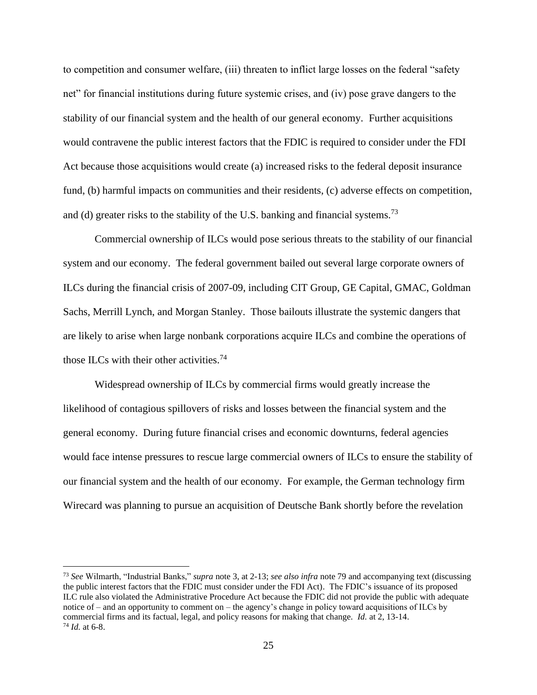to competition and consumer welfare, (iii) threaten to inflict large losses on the federal "safety net" for financial institutions during future systemic crises, and (iv) pose grave dangers to the stability of our financial system and the health of our general economy. Further acquisitions would contravene the public interest factors that the FDIC is required to consider under the FDI Act because those acquisitions would create (a) increased risks to the federal deposit insurance fund, (b) harmful impacts on communities and their residents, (c) adverse effects on competition, and (d) greater risks to the stability of the U.S. banking and financial systems.<sup>73</sup>

Commercial ownership of ILCs would pose serious threats to the stability of our financial system and our economy. The federal government bailed out several large corporate owners of ILCs during the financial crisis of 2007-09, including CIT Group, GE Capital, GMAC, Goldman Sachs, Merrill Lynch, and Morgan Stanley. Those bailouts illustrate the systemic dangers that are likely to arise when large nonbank corporations acquire ILCs and combine the operations of those ILCs with their other activities.<sup>74</sup>

Widespread ownership of ILCs by commercial firms would greatly increase the likelihood of contagious spillovers of risks and losses between the financial system and the general economy. During future financial crises and economic downturns, federal agencies would face intense pressures to rescue large commercial owners of ILCs to ensure the stability of our financial system and the health of our economy. For example, the German technology firm Wirecard was planning to pursue an acquisition of Deutsche Bank shortly before the revelation

<sup>73</sup> *See* Wilmarth, "Industrial Banks," *supra* note 3, at 2-13; *see also infra* note 79 and accompanying text (discussing the public interest factors that the FDIC must consider under the FDI Act). The FDIC's issuance of its proposed ILC rule also violated the Administrative Procedure Act because the FDIC did not provide the public with adequate notice of – and an opportunity to comment on – the agency's change in policy toward acquisitions of ILCs by commercial firms and its factual, legal, and policy reasons for making that change. *Id.* at 2, 13-14. <sup>74</sup> *Id.* at 6-8.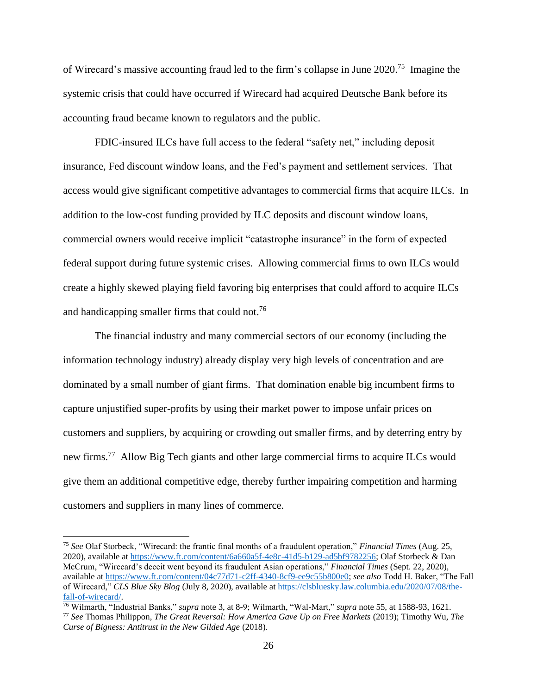of Wirecard's massive accounting fraud led to the firm's collapse in June 2020. <sup>75</sup> Imagine the systemic crisis that could have occurred if Wirecard had acquired Deutsche Bank before its accounting fraud became known to regulators and the public.

FDIC-insured ILCs have full access to the federal "safety net," including deposit insurance, Fed discount window loans, and the Fed's payment and settlement services. That access would give significant competitive advantages to commercial firms that acquire ILCs. In addition to the low-cost funding provided by ILC deposits and discount window loans, commercial owners would receive implicit "catastrophe insurance" in the form of expected federal support during future systemic crises. Allowing commercial firms to own ILCs would create a highly skewed playing field favoring big enterprises that could afford to acquire ILCs and handicapping smaller firms that could not.<sup>76</sup>

The financial industry and many commercial sectors of our economy (including the information technology industry) already display very high levels of concentration and are dominated by a small number of giant firms. That domination enable big incumbent firms to capture unjustified super-profits by using their market power to impose unfair prices on customers and suppliers, by acquiring or crowding out smaller firms, and by deterring entry by new firms.<sup>77</sup> Allow Big Tech giants and other large commercial firms to acquire ILCs would give them an additional competitive edge, thereby further impairing competition and harming customers and suppliers in many lines of commerce.

<sup>75</sup> *See* Olaf Storbeck, "Wirecard: the frantic final months of a fraudulent operation," *Financial Times* (Aug. 25, 2020), available a[t https://www.ft.com/content/6a660a5f-4e8c-41d5-b129-ad5bf9782256;](https://www.ft.com/content/6a660a5f-4e8c-41d5-b129-ad5bf9782256) Olaf Storbeck & Dan McCrum, "Wirecard's deceit went beyond its fraudulent Asian operations," *Financial Times* (Sept. 22, 2020), available at [https://www.ft.com/content/04c77d71-c2ff-4340-8cf9-ee9c55b800e0;](https://www.ft.com/content/04c77d71-c2ff-4340-8cf9-ee9c55b800e0) *see also* Todd H. Baker, "The Fall of Wirecard," *CLS Blue Sky Blog* (July 8, 2020), available at [https://clsbluesky.law.columbia.edu/2020/07/08/the](https://clsbluesky.law.columbia.edu/2020/07/08/the-fall-of-wirecard/)[fall-of-wirecard/.](https://clsbluesky.law.columbia.edu/2020/07/08/the-fall-of-wirecard/)

<sup>76</sup> Wilmarth, "Industrial Banks," *supra* note 3, at 8-9; Wilmarth, "Wal-Mart," *supra* note 55, at 1588-93, 1621. <sup>77</sup> *See* Thomas Philippon, *The Great Reversal: How America Gave Up on Free Markets* (2019); Timothy Wu, *The Curse of Bigness: Antitrust in the New Gilded Age* (2018).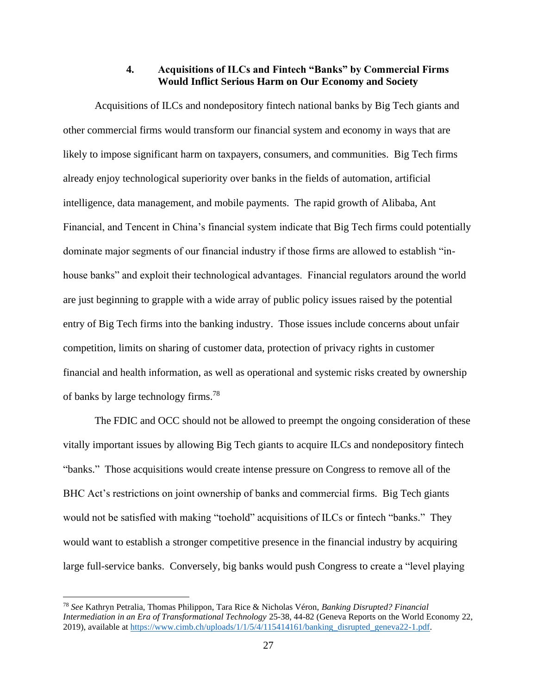#### **4. Acquisitions of ILCs and Fintech "Banks" by Commercial Firms Would Inflict Serious Harm on Our Economy and Society**

Acquisitions of ILCs and nondepository fintech national banks by Big Tech giants and other commercial firms would transform our financial system and economy in ways that are likely to impose significant harm on taxpayers, consumers, and communities. Big Tech firms already enjoy technological superiority over banks in the fields of automation, artificial intelligence, data management, and mobile payments. The rapid growth of Alibaba, Ant Financial, and Tencent in China's financial system indicate that Big Tech firms could potentially dominate major segments of our financial industry if those firms are allowed to establish "inhouse banks" and exploit their technological advantages. Financial regulators around the world are just beginning to grapple with a wide array of public policy issues raised by the potential entry of Big Tech firms into the banking industry. Those issues include concerns about unfair competition, limits on sharing of customer data, protection of privacy rights in customer financial and health information, as well as operational and systemic risks created by ownership of banks by large technology firms.<sup>78</sup>

The FDIC and OCC should not be allowed to preempt the ongoing consideration of these vitally important issues by allowing Big Tech giants to acquire ILCs and nondepository fintech "banks." Those acquisitions would create intense pressure on Congress to remove all of the BHC Act's restrictions on joint ownership of banks and commercial firms. Big Tech giants would not be satisfied with making "toehold" acquisitions of ILCs or fintech "banks." They would want to establish a stronger competitive presence in the financial industry by acquiring large full-service banks. Conversely, big banks would push Congress to create a "level playing

<sup>78</sup> *See* Kathryn Petralia, Thomas Philippon, Tara Rice & Nicholas Véron, *Banking Disrupted? Financial Intermediation in an Era of Transformational Technology* 25-38, 44-82 (Geneva Reports on the World Economy 22, 2019), available a[t https://www.cimb.ch/uploads/1/1/5/4/115414161/banking\\_disrupted\\_geneva22-1.pdf.](https://www.cimb.ch/uploads/1/1/5/4/115414161/banking_disrupted_geneva22-1.pdf)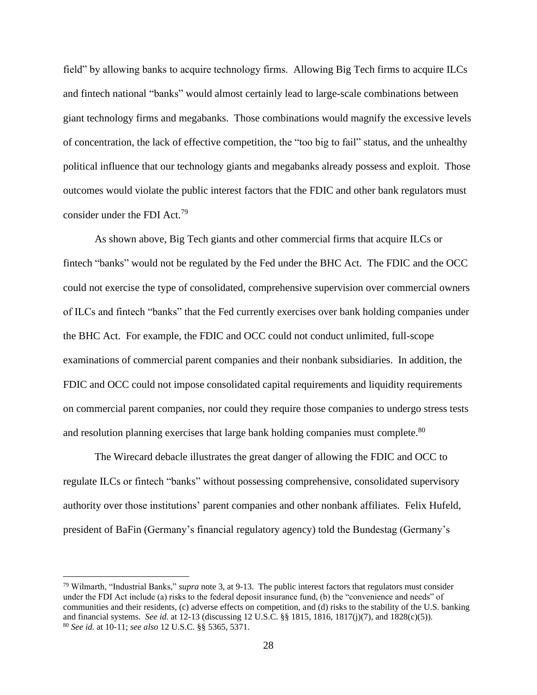field" by allowing banks to acquire technology firms. Allowing Big Tech firms to acquire ILCs and fintech national "banks" would almost certainly lead to large-scale combinations between giant technology firms and megabanks. Those combinations would magnify the excessive levels of concentration, the lack of effective competition, the "too big to fail" status, and the unhealthy political influence that our technology giants and megabanks already possess and exploit. Those outcomes would violate the public interest factors that the FDIC and other bank regulators must consider under the FDI Act.<sup>79</sup>

As shown above, Big Tech giants and other commercial firms that acquire ILCs or fintech "banks" would not be regulated by the Fed under the BHC Act. The FDIC and the OCC could not exercise the type of consolidated, comprehensive supervision over commercial owners of ILCs and fintech "banks" that the Fed currently exercises over bank holding companies under the BHC Act. For example, the FDIC and OCC could not conduct unlimited, full-scope examinations of commercial parent companies and their nonbank subsidiaries. In addition, the FDIC and OCC could not impose consolidated capital requirements and liquidity requirements on commercial parent companies, nor could they require those companies to undergo stress tests and resolution planning exercises that large bank holding companies must complete.<sup>80</sup>

The Wirecard debacle illustrates the great danger of allowing the FDIC and OCC to regulate ILCs or fintech "banks" without possessing comprehensive, consolidated supervisory authority over those institutions' parent companies and other nonbank affiliates. Felix Hufeld, president of BaFin (Germany's financial regulatory agency) told the Bundestag (Germany's

<sup>79</sup> Wilmarth, "Industrial Banks," *supra* note 3, at 9-13. The public interest factors that regulators must consider under the FDI Act include (a) risks to the federal deposit insurance fund, (b) the "convenience and needs" of communities and their residents, (c) adverse effects on competition, and (d) risks to the stability of the U.S. banking and financial systems. *See id.* at 12-13 (discussing 12 U.S.C. §§ 1815, 1816, 1817(j)(7), and 1828(c)(5)). <sup>80</sup> *See id.* at 10-11; *see also* 12 U.S.C. §§ 5365, 5371.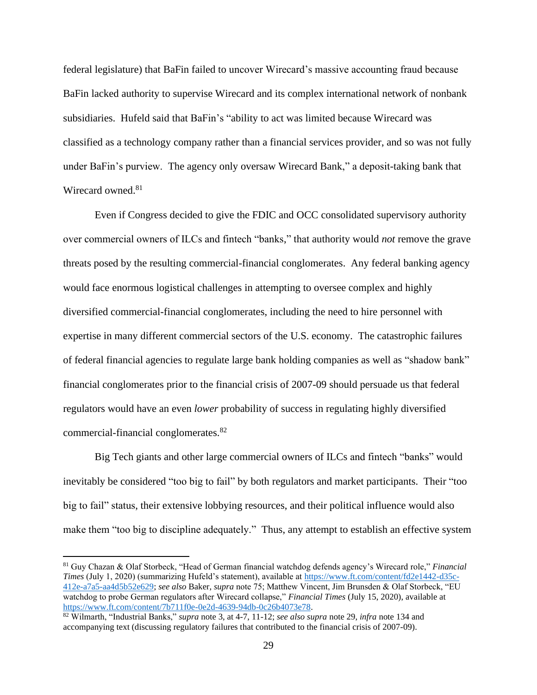federal legislature) that BaFin failed to uncover Wirecard's massive accounting fraud because BaFin lacked authority to supervise Wirecard and its complex international network of nonbank subsidiaries. Hufeld said that BaFin's "ability to act was limited because Wirecard was classified as a technology company rather than a financial services provider, and so was not fully under BaFin's purview. The agency only oversaw Wirecard Bank," a deposit-taking bank that Wirecard owned.<sup>81</sup>

Even if Congress decided to give the FDIC and OCC consolidated supervisory authority over commercial owners of ILCs and fintech "banks," that authority would *not* remove the grave threats posed by the resulting commercial-financial conglomerates. Any federal banking agency would face enormous logistical challenges in attempting to oversee complex and highly diversified commercial-financial conglomerates, including the need to hire personnel with expertise in many different commercial sectors of the U.S. economy. The catastrophic failures of federal financial agencies to regulate large bank holding companies as well as "shadow bank" financial conglomerates prior to the financial crisis of 2007-09 should persuade us that federal regulators would have an even *lower* probability of success in regulating highly diversified commercial-financial conglomerates.<sup>82</sup>

Big Tech giants and other large commercial owners of ILCs and fintech "banks" would inevitably be considered "too big to fail" by both regulators and market participants. Their "too big to fail" status, their extensive lobbying resources, and their political influence would also make them "too big to discipline adequately." Thus, any attempt to establish an effective system

<sup>81</sup> Guy Chazan & Olaf Storbeck, "Head of German financial watchdog defends agency's Wirecard role," *Financial Times* (July 1, 2020) (summarizing Hufeld's statement), available at [https://www.ft.com/content/fd2e1442-d35c-](https://www.ft.com/content/fd2e1442-d35c-412e-a7a5-aa4d5b52e629)[412e-a7a5-aa4d5b52e629;](https://www.ft.com/content/fd2e1442-d35c-412e-a7a5-aa4d5b52e629) *see also* Baker, *supra* note 75; Matthew Vincent, Jim Brunsden & Olaf Storbeck, "EU watchdog to probe German regulators after Wirecard collapse," *Financial Times* (July 15, 2020), available at [https://www.ft.com/content/7b711f0e-0e2d-4639-94db-0c26b4073e78.](https://www.ft.com/content/7b711f0e-0e2d-4639-94db-0c26b4073e78)

<sup>82</sup> Wilmarth, "Industrial Banks," *supra* note 3, at 4-7, 11-12; *see also supra* note 29, *infra* note 134 and accompanying text (discussing regulatory failures that contributed to the financial crisis of 2007-09).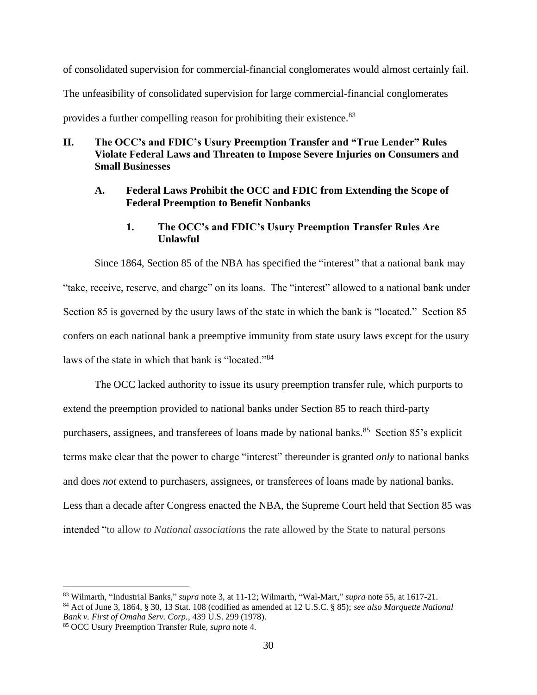of consolidated supervision for commercial-financial conglomerates would almost certainly fail. The unfeasibility of consolidated supervision for large commercial-financial conglomerates provides a further compelling reason for prohibiting their existence.<sup>83</sup>

### **II. The OCC's and FDIC's Usury Preemption Transfer and "True Lender" Rules Violate Federal Laws and Threaten to Impose Severe Injuries on Consumers and Small Businesses**

### **A. Federal Laws Prohibit the OCC and FDIC from Extending the Scope of Federal Preemption to Benefit Nonbanks**

## **1. The OCC's and FDIC's Usury Preemption Transfer Rules Are Unlawful**

Since 1864, Section 85 of the NBA has specified the "interest" that a national bank may "take, receive, reserve, and charge" on its loans. The "interest" allowed to a national bank under Section 85 is governed by the usury laws of the state in which the bank is "located." Section 85 confers on each national bank a preemptive immunity from state usury laws except for the usury laws of the state in which that bank is "located."<sup>84</sup>

The OCC lacked authority to issue its usury preemption transfer rule, which purports to extend the preemption provided to national banks under Section 85 to reach third-party purchasers, assignees, and transferees of loans made by national banks.<sup>85</sup> Section 85's explicit terms make clear that the power to charge "interest" thereunder is granted *only* to national banks and does *not* extend to purchasers, assignees, or transferees of loans made by national banks. Less than a decade after Congress enacted the NBA, the Supreme Court held that Section 85 was intended "to allow *to National associations* the rate allowed by the State to natural persons

<sup>83</sup> Wilmarth, "Industrial Banks," *supra* note 3, at 11-12; Wilmarth, "Wal-Mart," *supra* note 55, at 1617-21.

<sup>84</sup> Act of June 3, 1864, § 30, 13 Stat. 108 (codified as amended at 12 U.S.C. § 85); *see also Marquette National Bank v. First of Omaha Serv. Corp.*, 439 U.S. 299 (1978).

<sup>85</sup> OCC Usury Preemption Transfer Rule, *supra* note 4.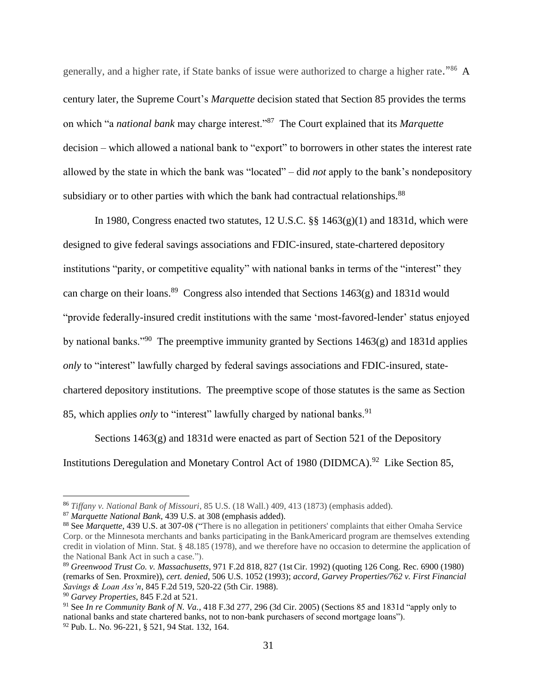generally, and a higher rate, if State banks of issue were authorized to charge a higher rate."<sup>86</sup> A century later, the Supreme Court's *Marquette* decision stated that Section 85 provides the terms on which "a *national bank* may charge interest."<sup>87</sup> The Court explained that its *Marquette*  decision – which allowed a national bank to "export" to borrowers in other states the interest rate allowed by the state in which the bank was "located" – did *not* apply to the bank's nondepository subsidiary or to other parties with which the bank had contractual relationships.<sup>88</sup>

In 1980, Congress enacted two statutes, 12 U.S.C.  $\S$  1463(g)(1) and 1831d, which were designed to give federal savings associations and FDIC-insured, state-chartered depository institutions "parity, or competitive equality" with national banks in terms of the "interest" they can charge on their loans.<sup>89</sup> Congress also intended that Sections 1463(g) and 1831d would "provide federally-insured credit institutions with the same 'most-favored-lender' status enjoyed by national banks."<sup>90</sup> The preemptive immunity granted by Sections 1463(g) and 1831d applies *only* to "interest" lawfully charged by federal savings associations and FDIC-insured, statechartered depository institutions. The preemptive scope of those statutes is the same as Section 85, which applies *only* to "interest" lawfully charged by national banks.<sup>91</sup>

Sections 1463(g) and 1831d were enacted as part of Section 521 of the Depository Institutions Deregulation and Monetary Control Act of 1980 (DIDMCA).<sup>92</sup> Like Section 85,

<sup>86</sup> *Tiffany v. National Bank of Missouri*, 85 U.S. (18 Wall.) 409, 413 (1873) (emphasis added).

<sup>87</sup> *Marquette National Bank*, 439 U.S. at 308 (emphasis added).

<sup>88</sup> See *Marquette*, 439 U.S. at 307-08 ("There is no allegation in petitioners' complaints that either Omaha Service Corp. or the Minnesota merchants and banks participating in the BankAmericard program are themselves extending credit in violation of Minn. Stat. § 48.185 (1978), and we therefore have no occasion to determine the application of the National Bank Act in such a case.").

<sup>89</sup> *Greenwood Trust Co. v. Massachusetts*, 971 F.2d 818, 827 (1st Cir. 1992) (quoting 126 Cong. Rec. 6900 (1980) (remarks of Sen. Proxmire)), *cert. denied*, 506 U.S. 1052 (1993); *accord*, *Garvey Properties/762 v. First Financial Savings & Loan Ass'n*, 845 F.2d 519, 520-22 (5th Cir. 1988).

<sup>90</sup> *Garvey Properties*, 845 F.2d at 521.

<sup>91</sup> See *In re Community Bank of N. Va.*, 418 F.3d 277, 296 (3d Cir. 2005) (Sections 85 and 1831d "apply only to national banks and state chartered banks, not to non-bank purchasers of second mortgage loans"). <sup>92</sup> Pub. L. No. 96-221, § 521, 94 Stat. 132, 164.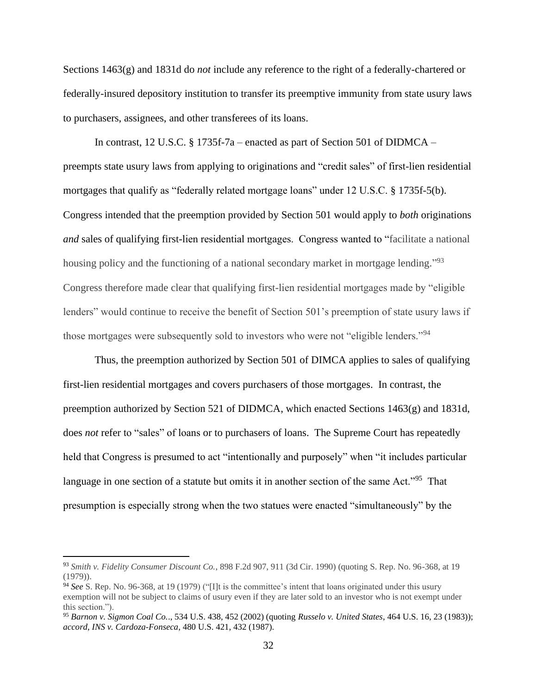Sections 1463(g) and 1831d do *not* include any reference to the right of a federally-chartered or federally-insured depository institution to transfer its preemptive immunity from state usury laws to purchasers, assignees, and other transferees of its loans.

In contrast, 12 U.S.C. § 1735f-7a – enacted as part of Section 501 of DIDMCA – preempts state usury laws from applying to originations and "credit sales" of first-lien residential mortgages that qualify as "federally related mortgage loans" under 12 U.S.C. § 1735f-5(b). Congress intended that the preemption provided by Section 501 would apply to *both* originations *and* sales of qualifying first-lien residential mortgages. Congress wanted to "facilitate a national housing policy and the functioning of a national secondary market in mortgage lending."<sup>93</sup> Congress therefore made clear that qualifying first-lien residential mortgages made by "eligible lenders" would continue to receive the benefit of Section 501's preemption of state usury laws if those mortgages were subsequently sold to investors who were not "eligible lenders."<sup>94</sup>

Thus, the preemption authorized by Section 501 of DIMCA applies to sales of qualifying first-lien residential mortgages and covers purchasers of those mortgages. In contrast, the preemption authorized by Section 521 of DIDMCA, which enacted Sections 1463(g) and 1831d, does *not* refer to "sales" of loans or to purchasers of loans. The Supreme Court has repeatedly held that Congress is presumed to act "intentionally and purposely" when "it includes particular language in one section of a statute but omits it in another section of the same Act."<sup>95</sup> That presumption is especially strong when the two statues were enacted "simultaneously" by the

<sup>93</sup> *Smith v. Fidelity Consumer Discount Co.*, 898 F.2d 907, 911 (3d Cir. 1990) (quoting S. Rep. No. 96-368, at 19 (1979)).

<sup>94</sup> *See* S. Rep. No. 96-368, at 19 (1979) ("[I]t is the committee's intent that loans originated under this usury exemption will not be subject to claims of usury even if they are later sold to an investor who is not exempt under this section.").

<sup>95</sup> *Barnon v. Sigmon Coal Co.*., 534 U.S. 438, 452 (2002) (quoting *Russelo v. United States*, 464 U.S. 16, 23 (1983)); *accord*, *INS v. Cardoza-Fonseca*, 480 U.S. 421, 432 (1987).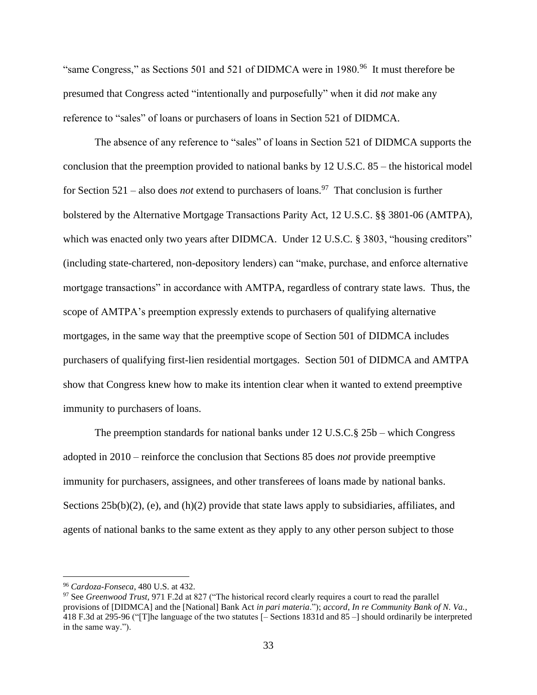"same Congress," as Sections 501 and 521 of DIDMCA were in 1980.<sup>96</sup> It must therefore be presumed that Congress acted "intentionally and purposefully" when it did *not* make any reference to "sales" of loans or purchasers of loans in Section 521 of DIDMCA.

The absence of any reference to "sales" of loans in Section 521 of DIDMCA supports the conclusion that the preemption provided to national banks by 12 U.S.C. 85 – the historical model for Section 521 – also does *not* extend to purchasers of loans.<sup>97</sup> That conclusion is further bolstered by the Alternative Mortgage Transactions Parity Act, 12 U.S.C. §§ 3801-06 (AMTPA), which was enacted only two years after DIDMCA. Under 12 U.S.C. § 3803, "housing creditors" (including state-chartered, non-depository lenders) can "make, purchase, and enforce alternative mortgage transactions" in accordance with AMTPA, regardless of contrary state laws. Thus, the scope of AMTPA's preemption expressly extends to purchasers of qualifying alternative mortgages, in the same way that the preemptive scope of Section 501 of DIDMCA includes purchasers of qualifying first-lien residential mortgages. Section 501 of DIDMCA and AMTPA show that Congress knew how to make its intention clear when it wanted to extend preemptive immunity to purchasers of loans.

The preemption standards for national banks under 12 U.S.C.§ 25b – which Congress adopted in 2010 – reinforce the conclusion that Sections 85 does *not* provide preemptive immunity for purchasers, assignees, and other transferees of loans made by national banks. Sections  $25b(b)(2)$ , (e), and (h)(2) provide that state laws apply to subsidiaries, affiliates, and agents of national banks to the same extent as they apply to any other person subject to those

<sup>96</sup> *Cardoza-Fonseca*, 480 U.S. at 432.

<sup>97</sup> See *Greenwood Trust,* 971 F.2d at 827 ("The historical record clearly requires a court to read the parallel provisions of [DIDMCA] and the [National] Bank Act *in pari materia*."); *accord*, *In re Community Bank of N. Va.*, 418 F.3d at 295-96 ("[T]he language of the two statutes [– Sections 1831d and 85 –] should ordinarily be interpreted in the same way.").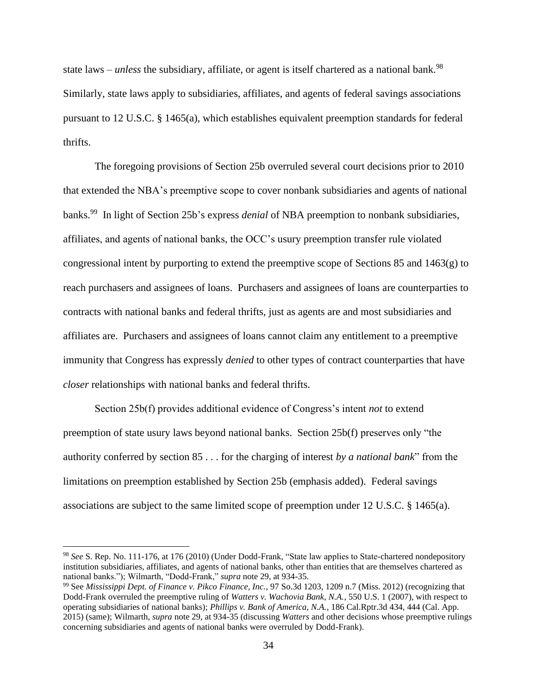state laws – *unless* the subsidiary, affiliate, or agent is itself chartered as a national bank.<sup>98</sup> Similarly, state laws apply to subsidiaries, affiliates, and agents of federal savings associations pursuant to 12 U.S.C. § 1465(a), which establishes equivalent preemption standards for federal thrifts.

The foregoing provisions of Section 25b overruled several court decisions prior to 2010 that extended the NBA's preemptive scope to cover nonbank subsidiaries and agents of national banks.<sup>99</sup> In light of Section 25b's express *denial* of NBA preemption to nonbank subsidiaries, affiliates, and agents of national banks, the OCC's usury preemption transfer rule violated congressional intent by purporting to extend the preemptive scope of Sections 85 and 1463(g) to reach purchasers and assignees of loans. Purchasers and assignees of loans are counterparties to contracts with national banks and federal thrifts, just as agents are and most subsidiaries and affiliates are. Purchasers and assignees of loans cannot claim any entitlement to a preemptive immunity that Congress has expressly *denied* to other types of contract counterparties that have *closer* relationships with national banks and federal thrifts.

Section 25b(f) provides additional evidence of Congress's intent *not* to extend preemption of state usury laws beyond national banks. Section 25b(f) preserves only "the authority conferred by section 85 . . . for the charging of interest *by a national bank*" from the limitations on preemption established by Section 25b (emphasis added). Federal savings associations are subject to the same limited scope of preemption under 12 U.S.C. § 1465(a).

<sup>98</sup> *See* S. Rep. No. 111-176, at 176 (2010) (Under Dodd-Frank, "State law applies to State-chartered nondepository institution subsidiaries, affiliates, and agents of national banks, other than entities that are themselves chartered as national banks."); Wilmarth, "Dodd-Frank," *supra* note 29, at 934-35.

<sup>99</sup> See *Mississippi Dept. of Finance v. Pikco Finance, Inc.*, 97 So.3d 1203, 1209 n.7 (Miss. 2012) (recognizing that Dodd-Frank overruled the preemptive ruling of *Watters v. Wachovia Bank, N.A.*, 550 U.S. 1 (2007), with respect to operating subsidiaries of national banks); *Phillips v. Bank of America, N.A.*, 186 Cal.Rptr.3d 434, 444 (Cal. App. 2015) (same); Wilmarth, *supra* note 29, at 934-35 (discussing *Watters* and other decisions whose preemptive rulings concerning subsidiaries and agents of national banks were overruled by Dodd-Frank).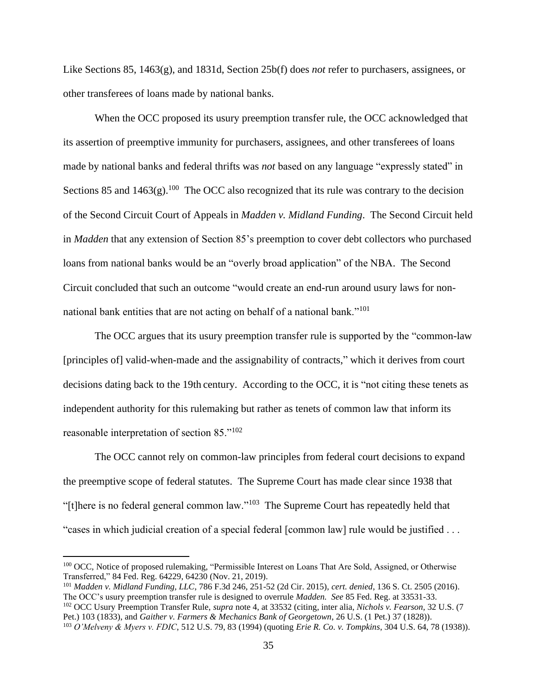Like Sections 85, 1463(g), and 1831d, Section 25b(f) does *not* refer to purchasers, assignees, or other transferees of loans made by national banks.

When the OCC proposed its usury preemption transfer rule, the OCC acknowledged that its assertion of preemptive immunity for purchasers, assignees, and other transferees of loans made by national banks and federal thrifts was *not* based on any language "expressly stated" in Sections 85 and  $1463(g)$ .<sup>100</sup> The OCC also recognized that its rule was contrary to the decision of the Second Circuit Court of Appeals in *Madden v. Midland Funding*. The Second Circuit held in *Madden* that any extension of Section 85's preemption to cover debt collectors who purchased loans from national banks would be an "overly broad application" of the NBA. The Second Circuit concluded that such an outcome "would create an end-run around usury laws for nonnational bank entities that are not acting on behalf of a national bank."<sup>101</sup>

The OCC argues that its usury preemption transfer rule is supported by the "common-law [principles of] valid-when-made and the assignability of contracts," which it derives from court decisions dating back to the 19th century. According to the OCC, it is "not citing these tenets as independent authority for this rulemaking but rather as tenets of common law that inform its reasonable interpretation of section 85."<sup>102</sup>

The OCC cannot rely on common-law principles from federal court decisions to expand the preemptive scope of federal statutes. The Supreme Court has made clear since 1938 that "[t]here is no federal general common law."<sup>103</sup> The Supreme Court has repeatedly held that "cases in which judicial creation of a special federal [common law] rule would be justified . . .

<sup>&</sup>lt;sup>100</sup> OCC, Notice of proposed rulemaking, "Permissible Interest on Loans That Are Sold, Assigned, or Otherwise Transferred," 84 Fed. Reg. 64229, 64230 (Nov. 21, 2019).

<sup>101</sup> *Madden v. Midland Funding, LLC*, 786 F.3d 246, 251-52 (2d Cir. 2015), *cert. denied*, 136 S. Ct. 2505 (2016). The OCC's usury preemption transfer rule is designed to overrule *Madden. See* 85 Fed. Reg. at 33531-33.

<sup>102</sup> OCC Usury Preemption Transfer Rule, *supra* note 4, at 33532 (citing, inter alia, *Nichols v. Fearson,* 32 U.S. (7 Pet.) 103 (1833), and *Gaither v. Farmers & Mechanics Bank of Georgetown*, 26 U.S. (1 Pet.) 37 (1828)). <sup>103</sup> *O'Melveny & Myers v. FDIC*, 512 U.S. 79, 83 (1994) (quoting *Erie R. Co. v. Tompkins*, 304 U.S. 64, 78 (1938)).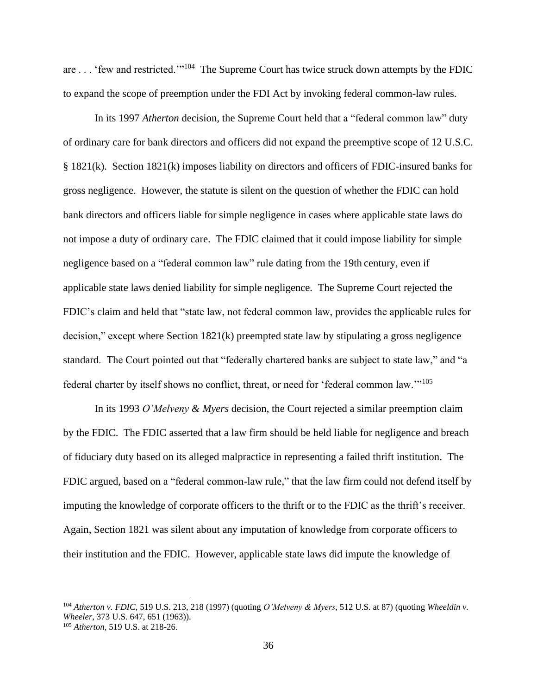are . . . 'few and restricted.'"<sup>104</sup> The Supreme Court has twice struck down attempts by the FDIC to expand the scope of preemption under the FDI Act by invoking federal common-law rules.

In its 1997 *Atherton* decision, the Supreme Court held that a "federal common law" duty of ordinary care for bank directors and officers did not expand the preemptive scope of 12 U.S.C. § 1821(k). Section 1821(k) imposes liability on directors and officers of FDIC-insured banks for gross negligence. However, the statute is silent on the question of whether the FDIC can hold bank directors and officers liable for simple negligence in cases where applicable state laws do not impose a duty of ordinary care. The FDIC claimed that it could impose liability for simple negligence based on a "federal common law" rule dating from the 19th century, even if applicable state laws denied liability for simple negligence. The Supreme Court rejected the FDIC's claim and held that "state law, not federal common law, provides the applicable rules for decision," except where Section 1821(k) preempted state law by stipulating a gross negligence standard. The Court pointed out that "federally chartered banks are subject to state law," and "a federal charter by itself shows no conflict, threat, or need for 'federal common law."<sup>105</sup>

In its 1993 *O'Melveny & Myers* decision, the Court rejected a similar preemption claim by the FDIC. The FDIC asserted that a law firm should be held liable for negligence and breach of fiduciary duty based on its alleged malpractice in representing a failed thrift institution. The FDIC argued, based on a "federal common-law rule," that the law firm could not defend itself by imputing the knowledge of corporate officers to the thrift or to the FDIC as the thrift's receiver. Again, Section 1821 was silent about any imputation of knowledge from corporate officers to their institution and the FDIC. However, applicable state laws did impute the knowledge of

<sup>104</sup> *Atherton v. FDIC*, 519 U.S. 213, 218 (1997) (quoting *O'Melveny & Myers*, 512 U.S. at 87) (quoting *Wheeldin v. Wheeler*, 373 U.S. 647, 651 (1963)). <sup>105</sup> *Atherton*, 519 U.S. at 218-26.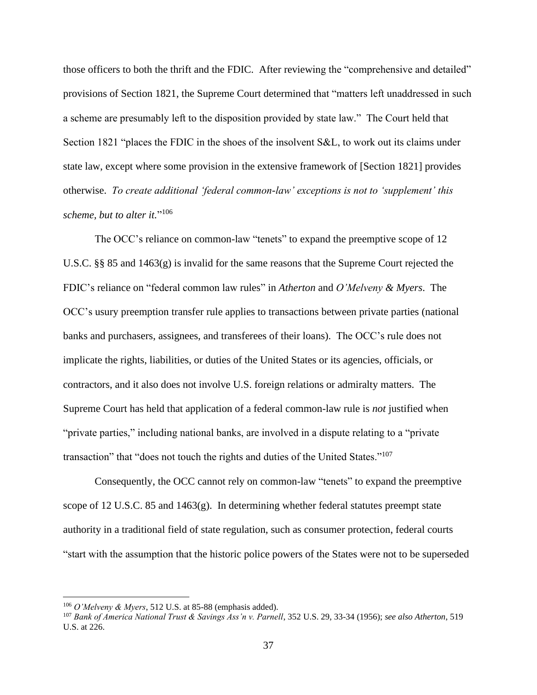those officers to both the thrift and the FDIC. After reviewing the "comprehensive and detailed" provisions of Section 1821, the Supreme Court determined that "matters left unaddressed in such a scheme are presumably left to the disposition provided by state law." The Court held that Section 1821 "places the FDIC in the shoes of the insolvent S&L, to work out its claims under state law, except where some provision in the extensive framework of [Section 1821] provides otherwise. *To create additional 'federal common-law' exceptions is not to 'supplement' this scheme, but to alter it.*" 106

The OCC's reliance on common-law "tenets" to expand the preemptive scope of 12 U.S.C. §§ 85 and 1463(g) is invalid for the same reasons that the Supreme Court rejected the FDIC's reliance on "federal common law rules" in *Atherton* and *O'Melveny & Myers*. The OCC's usury preemption transfer rule applies to transactions between private parties (national banks and purchasers, assignees, and transferees of their loans). The OCC's rule does not implicate the rights, liabilities, or duties of the United States or its agencies, officials, or contractors, and it also does not involve U.S. foreign relations or admiralty matters. The Supreme Court has held that application of a federal common-law rule is *not* justified when "private parties," including national banks, are involved in a dispute relating to a "private transaction" that "does not touch the rights and duties of the United States."<sup>107</sup>

Consequently, the OCC cannot rely on common-law "tenets" to expand the preemptive scope of 12 U.S.C. 85 and 1463(g). In determining whether federal statutes preempt state authority in a traditional field of state regulation, such as consumer protection, federal courts "start with the assumption that the historic police powers of the States were not to be superseded

<sup>106</sup> *O'Melveny & Myers*, 512 U.S. at 85-88 (emphasis added).

<sup>107</sup> *Bank of America National Trust & Savings Ass'n v. Parnell*, 352 U.S. 29, 33-34 (1956); *see also Atherton*, 519 U.S. at 226.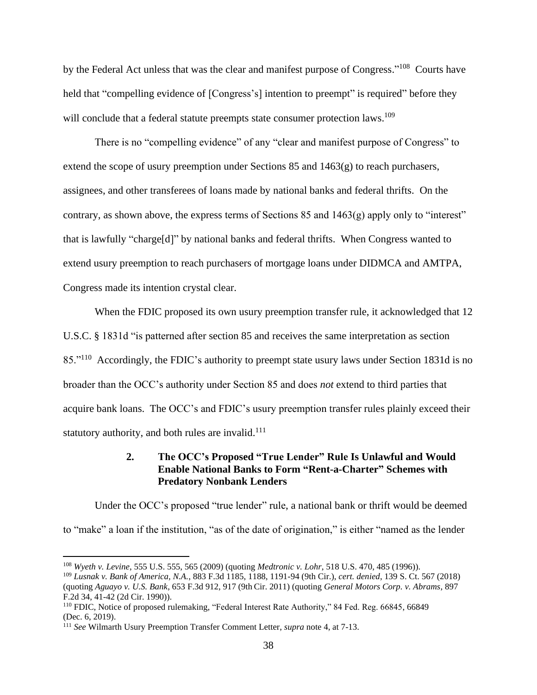by the Federal Act unless that was the clear and manifest purpose of Congress."<sup>108</sup> Courts have held that "compelling evidence of [Congress's] intention to preempt" is required" before they will conclude that a federal statute preempts state consumer protection laws.<sup>109</sup>

There is no "compelling evidence" of any "clear and manifest purpose of Congress" to extend the scope of usury preemption under Sections 85 and 1463(g) to reach purchasers, assignees, and other transferees of loans made by national banks and federal thrifts. On the contrary, as shown above, the express terms of Sections  $85$  and  $1463(g)$  apply only to "interest" that is lawfully "charge[d]" by national banks and federal thrifts. When Congress wanted to extend usury preemption to reach purchasers of mortgage loans under DIDMCA and AMTPA, Congress made its intention crystal clear.

When the FDIC proposed its own usury preemption transfer rule, it acknowledged that 12 U.S.C. § 1831d "is patterned after section 85 and receives the same interpretation as section 85."<sup>110</sup> Accordingly, the FDIC's authority to preempt state usury laws under Section 1831d is no broader than the OCC's authority under Section 85 and does *not* extend to third parties that acquire bank loans. The OCC's and FDIC's usury preemption transfer rules plainly exceed their statutory authority, and both rules are invalid.<sup>111</sup>

### **2. The OCC's Proposed "True Lender" Rule Is Unlawful and Would Enable National Banks to Form "Rent-a-Charter" Schemes with Predatory Nonbank Lenders**

Under the OCC's proposed "true lender" rule, a national bank or thrift would be deemed to "make" a loan if the institution, "as of the date of origination," is either "named as the lender

<sup>108</sup> *Wyeth v. Levine*, 555 U.S. 555, 565 (2009) (quoting *Medtronic v. Lohr*, 518 U.S. 470, 485 (1996)).

<sup>109</sup> *Lusnak v. Bank of America, N.A.*, 883 F.3d 1185, 1188, 1191-94 (9th Cir.), *cert. denied*, 139 S. Ct. 567 (2018) (quoting *Aguayo v. U.S. Bank*, 653 F.3d 912, 917 (9th Cir. 2011) (quoting *General Motors Corp. v. Abrams*, 897 F.2d 34, 41-42 (2d Cir. 1990)).

<sup>110</sup> FDIC, Notice of proposed rulemaking, "Federal Interest Rate Authority," 84 Fed. Reg. 66845, 66849 (Dec. 6, 2019).

<sup>111</sup> *See* Wilmarth Usury Preemption Transfer Comment Letter, *supra* note 4, at 7-13.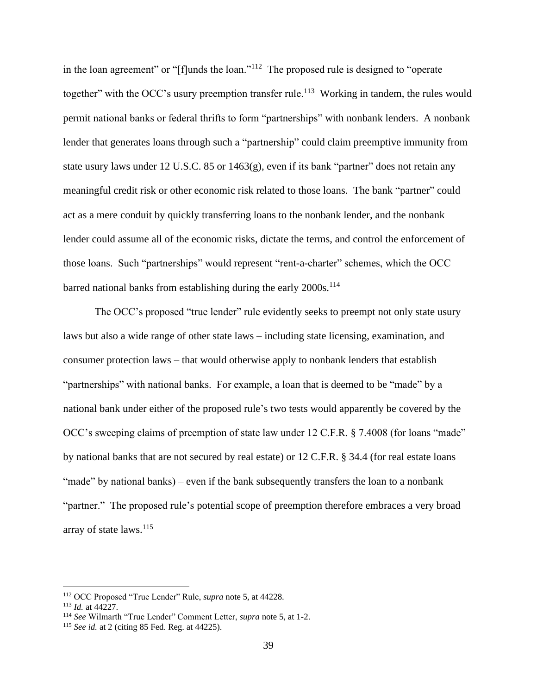in the loan agreement" or "[f]unds the loan."<sup>112</sup> The proposed rule is designed to "operate together" with the OCC's usury preemption transfer rule.<sup>113</sup> Working in tandem, the rules would permit national banks or federal thrifts to form "partnerships" with nonbank lenders. A nonbank lender that generates loans through such a "partnership" could claim preemptive immunity from state usury laws under 12 U.S.C. 85 or 1463(g), even if its bank "partner" does not retain any meaningful credit risk or other economic risk related to those loans. The bank "partner" could act as a mere conduit by quickly transferring loans to the nonbank lender, and the nonbank lender could assume all of the economic risks, dictate the terms, and control the enforcement of those loans. Such "partnerships" would represent "rent-a-charter" schemes, which the OCC barred national banks from establishing during the early  $2000s$ .<sup>114</sup>

The OCC's proposed "true lender" rule evidently seeks to preempt not only state usury laws but also a wide range of other state laws – including state licensing, examination, and consumer protection laws – that would otherwise apply to nonbank lenders that establish "partnerships" with national banks. For example, a loan that is deemed to be "made" by a national bank under either of the proposed rule's two tests would apparently be covered by the OCC's sweeping claims of preemption of state law under 12 C.F.R. § 7.4008 (for loans "made" by national banks that are not secured by real estate) or 12 C.F.R. § 34.4 (for real estate loans "made" by national banks) – even if the bank subsequently transfers the loan to a nonbank "partner." The proposed rule's potential scope of preemption therefore embraces a very broad array of state laws.<sup>115</sup>

<sup>112</sup> OCC Proposed "True Lender" Rule, *supra* note 5, at 44228.

<sup>113</sup> *Id.* at 44227.

<sup>114</sup> *See* Wilmarth "True Lender" Comment Letter, *supra* note 5, at 1-2.

<sup>115</sup> *See id.* at 2 (citing 85 Fed. Reg. at 44225).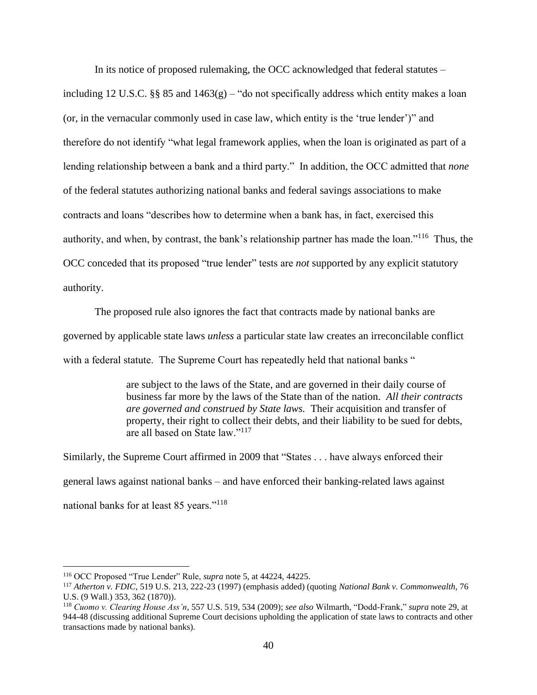In its notice of proposed rulemaking, the OCC acknowledged that federal statutes –

including 12 U.S.C. §§ 85 and  $1463(g)$  – "do not specifically address which entity makes a loan (or, in the vernacular commonly used in case law, which entity is the 'true lender')" and therefore do not identify "what legal framework applies, when the loan is originated as part of a lending relationship between a bank and a third party." In addition, the OCC admitted that *none* of the federal statutes authorizing national banks and federal savings associations to make contracts and loans "describes how to determine when a bank has, in fact, exercised this authority, and when, by contrast, the bank's relationship partner has made the loan."<sup>116</sup> Thus, the OCC conceded that its proposed "true lender" tests are *not* supported by any explicit statutory authority.

The proposed rule also ignores the fact that contracts made by national banks are governed by applicable state laws *unless* a particular state law creates an irreconcilable conflict with a federal statute. The Supreme Court has repeatedly held that national banks "

> are subject to the laws of the State, and are governed in their daily course of business far more by the laws of the State than of the nation. *All their contracts are governed and construed by State laws.* Their acquisition and transfer of property, their right to collect their debts, and their liability to be sued for debts, are all based on State law."<sup>117</sup>

Similarly, the Supreme Court affirmed in 2009 that "States . . . have always enforced their general laws against national banks – and have enforced their banking-related laws against national banks for at least 85 years."<sup>118</sup>

<sup>116</sup> OCC Proposed "True Lender" Rule, *supra* note 5, at 44224, 44225.

<sup>117</sup> *Atherton v. FDIC*, 519 U.S. 213, 222-23 (1997) (emphasis added) (quoting *National Bank v. Commonwealth*, 76 U.S. (9 Wall.) 353, 362 (1870)).

<sup>118</sup> *Cuomo v. Clearing House Ass'n*, 557 U.S. 519, 534 (2009); *see also* Wilmarth, "Dodd-Frank," *supra* note 29, at 944-48 (discussing additional Supreme Court decisions upholding the application of state laws to contracts and other transactions made by national banks).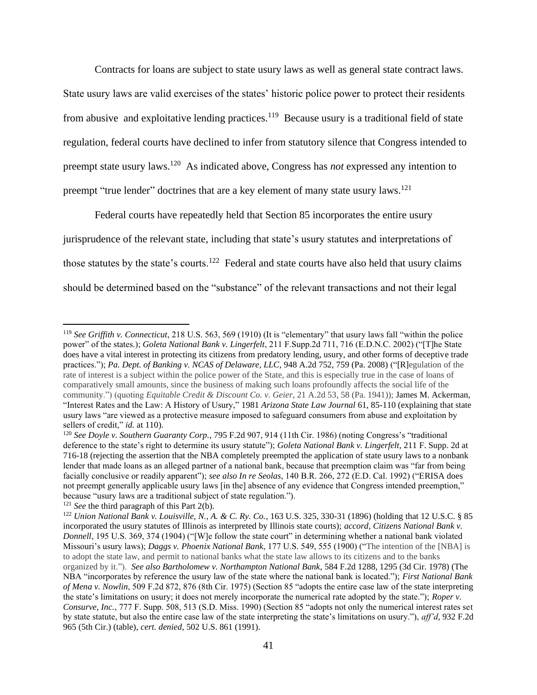Contracts for loans are subject to state usury laws as well as general state contract laws. State usury laws are valid exercises of the states' historic police power to protect their residents from abusive and exploitative lending practices.<sup>119</sup> Because usury is a traditional field of state regulation, federal courts have declined to infer from statutory silence that Congress intended to preempt state usury laws.<sup>120</sup> As indicated above, Congress has *not* expressed any intention to preempt "true lender" doctrines that are a key element of many state usury laws.<sup>121</sup>

Federal courts have repeatedly held that Section 85 incorporates the entire usury jurisprudence of the relevant state, including that state's usury statutes and interpretations of those statutes by the state's courts.<sup>122</sup> Federal and state courts have also held that usury claims should be determined based on the "substance" of the relevant transactions and not their legal

<sup>119</sup> *See Griffith v. Connecticut*, 218 U.S. 563, 569 (1910) (It is "elementary" that usury laws fall "within the police power" of the states.); *Goleta National Bank v. Lingerfelt*, 211 F.Supp.2d 711, 716 (E.D.N.C. 2002) ("[T]he State does have a vital interest in protecting its citizens from predatory lending, usury, and other forms of deceptive trade practices."); *Pa. Dept. of Banking v. NCAS of Delaware, LLC*, 948 A.2d 752, 759 (Pa. 2008) ("[R]egulation of the rate of interest is a subject within the police power of the State, and this is especially true in the case of loans of comparatively small amounts, since the business of making such loans profoundly affects the social life of the community.") (quoting *Equitable Credit & Discount Co. v. Geier*, 21 A.2d 53, 58 (Pa. 1941)); James M. Ackerman, "Interest Rates and the Law: A History of Usury," 1981 *Arizona State Law Journal* 61, 85-110 (explaining that state usury laws "are viewed as a protective measure imposed to safeguard consumers from abuse and exploitation by sellers of credit," *id.* at 110).

<sup>120</sup> *See Doyle v. Southern Guaranty Corp.*, 795 F.2d 907, 914 (11th Cir. 1986) (noting Congress's "traditional deference to the state's right to determine its usury statute"); *Goleta National Bank v. Lingerfelt*, 211 F. Supp. 2d at 716-18 (rejecting the assertion that the NBA completely preempted the application of state usury laws to a nonbank lender that made loans as an alleged partner of a national bank, because that preemption claim was "far from being facially conclusive or readily apparent"); *see also In re Seolas*, 140 B.R. 266, 272 (E.D. Cal. 1992) ("ERISA does not preempt generally applicable usury laws [in the] absence of any evidence that Congress intended preemption," because "usury laws are a traditional subject of state regulation.").

<sup>121</sup> *See* the third paragraph of this Part 2(b).

<sup>122</sup> *Union National Bank v. Louisville, N., A. & C. Ry. Co.*, 163 U.S. 325, 330-31 (1896) (holding that 12 U.S.C. § 85 incorporated the usury statutes of Illinois as interpreted by Illinois state courts); *accord*, *Citizens National Bank v. Donnell*, 195 U.S. 369, 374 (1904) ("[W]e follow the state court" in determining whether a national bank violated Missouri's usury laws); *Daggs v. Phoenix National Bank*, 177 U.S. 549, 555 (1900) ("The intention of the [NBA] is to adopt the state law, and permit to national banks what the state law allows to its citizens and to the banks organized by it."). *See also Bartholomew v. Northampton National Bank*, 584 F.2d 1288, 1295 (3d Cir. 1978) (The NBA "incorporates by reference the usury law of the state where the national bank is located."); *First National Bank of Mena v. Nowlin*, 509 F.2d 872, 876 (8th Cir. 1975) (Section 85 "adopts the entire case law of the state interpreting the state's limitations on usury; it does not merely incorporate the numerical rate adopted by the state."); *Roper v. Consurve, Inc.*, 777 F. Supp. 508, 513 (S.D. Miss. 1990) (Section 85 "adopts not only the numerical interest rates set by state statute, but also the entire case law of the state interpreting the state's limitations on usury."), *aff'd*, 932 F.2d 965 (5th Cir.) (table), *cert. denied*, 502 U.S. 861 (1991).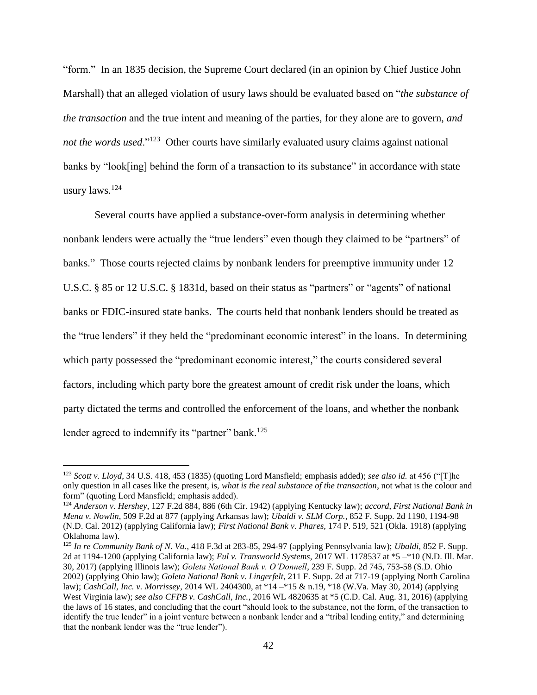"form." In an 1835 decision, the Supreme Court declared (in an opinion by Chief Justice John Marshall) that an alleged violation of usury laws should be evaluated based on "*the substance of the transaction* and the true intent and meaning of the parties, for they alone are to govern, *and*  not the words used."<sup>123</sup> Other courts have similarly evaluated usury claims against national banks by "look[ing] behind the form of a transaction to its substance" in accordance with state usury laws.<sup>124</sup>

Several courts have applied a substance-over-form analysis in determining whether nonbank lenders were actually the "true lenders" even though they claimed to be "partners" of banks." Those courts rejected claims by nonbank lenders for preemptive immunity under 12 U.S.C. § 85 or 12 U.S.C. § 1831d, based on their status as "partners" or "agents" of national banks or FDIC-insured state banks. The courts held that nonbank lenders should be treated as the "true lenders" if they held the "predominant economic interest" in the loans. In determining which party possessed the "predominant economic interest," the courts considered several factors, including which party bore the greatest amount of credit risk under the loans, which party dictated the terms and controlled the enforcement of the loans, and whether the nonbank lender agreed to indemnify its "partner" bank.<sup>125</sup>

<sup>123</sup> *Scott v. Lloyd*, 34 U.S. 418, 453 (1835) (quoting Lord Mansfield; emphasis added); *see also id.* at 456 ("[T]he only question in all cases like the present, is, *what is the real substance of the transaction*, not what is the colour and form" (quoting Lord Mansfield; emphasis added).

<sup>124</sup> *Anderson v. Hershey*, 127 F.2d 884, 886 (6th Cir. 1942) (applying Kentucky law); *accord*, *First National Bank in Mena v. Nowlin*, 509 F.2d at 877 (applying Arkansas law); *Ubaldi v. SLM Corp.*, 852 F. Supp. 2d 1190, 1194-98 (N.D. Cal. 2012) (applying California law); *First National Bank v. Phares*, 174 P. 519, 521 (Okla. 1918) (applying Oklahoma law).

<sup>125</sup> *In re Community Bank of N. Va.*, 418 F.3d at 283-85, 294-97 (applying Pennsylvania law); *Ubaldi*, 852 F. Supp. 2d at 1194-1200 (applying California law); *Eul v. Transworld Systems*, 2017 WL 1178537 at \*5 –\*10 (N.D. Ill. Mar. 30, 2017) (applying Illinois law); *Goleta National Bank v. O'Donnell*, 239 F. Supp. 2d 745, 753-58 (S.D. Ohio 2002) (applying Ohio law); *Goleta National Bank v. Lingerfelt*, 211 F. Supp. 2d at 717-19 (applying North Carolina law); *CashCall, Inc. v. Morrissey*, 2014 WL 2404300, at \*14 –\*15 & n.19, \*18 (W.Va. May 30, 2014) (applying West Virginia law); *see also CFPB v. CashCall, Inc.*, 2016 WL 4820635 at \*5 (C.D. Cal. Aug. 31, 2016) (applying the laws of 16 states, and concluding that the court "should look to the substance, not the form, of the transaction to identify the true lender" in a joint venture between a nonbank lender and a "tribal lending entity," and determining that the nonbank lender was the "true lender").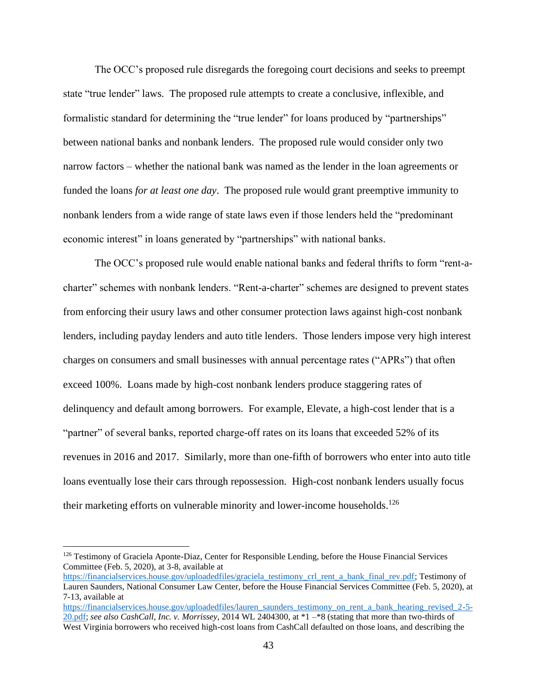The OCC's proposed rule disregards the foregoing court decisions and seeks to preempt state "true lender" laws. The proposed rule attempts to create a conclusive, inflexible, and formalistic standard for determining the "true lender" for loans produced by "partnerships" between national banks and nonbank lenders. The proposed rule would consider only two narrow factors – whether the national bank was named as the lender in the loan agreements or funded the loans *for at least one day*. The proposed rule would grant preemptive immunity to nonbank lenders from a wide range of state laws even if those lenders held the "predominant economic interest" in loans generated by "partnerships" with national banks.

The OCC's proposed rule would enable national banks and federal thrifts to form "rent-acharter" schemes with nonbank lenders. "Rent-a-charter" schemes are designed to prevent states from enforcing their usury laws and other consumer protection laws against high-cost nonbank lenders, including payday lenders and auto title lenders. Those lenders impose very high interest charges on consumers and small businesses with annual percentage rates ("APRs") that often exceed 100%. Loans made by high-cost nonbank lenders produce staggering rates of delinquency and default among borrowers. For example, Elevate, a high-cost lender that is a "partner" of several banks, reported charge-off rates on its loans that exceeded 52% of its revenues in 2016 and 2017. Similarly, more than one-fifth of borrowers who enter into auto title loans eventually lose their cars through repossession. High-cost nonbank lenders usually focus their marketing efforts on vulnerable minority and lower-income households.<sup>126</sup>

<sup>126</sup> Testimony of Graciela Aponte-Diaz, Center for Responsible Lending, before the House Financial Services Committee (Feb. 5, 2020), at 3-8, available at

[https://financialservices.house.gov/uploadedfiles/graciela\\_testimony\\_crl\\_rent\\_a\\_bank\\_final\\_rev.pdf;](https://financialservices.house.gov/uploadedfiles/graciela_testimony_crl_rent_a_bank_final_rev.pdf) Testimony of Lauren Saunders, National Consumer Law Center, before the House Financial Services Committee (Feb. 5, 2020), at 7-13, available at

[https://financialservices.house.gov/uploadedfiles/lauren\\_saunders\\_testimony\\_on\\_rent\\_a\\_bank\\_hearing\\_revised\\_2-5-](https://financialservices.house.gov/uploadedfiles/lauren_saunders_testimony_on_rent_a_bank_hearing_revised_2-5-20.pdf) [20.pdf;](https://financialservices.house.gov/uploadedfiles/lauren_saunders_testimony_on_rent_a_bank_hearing_revised_2-5-20.pdf) *see also CashCall, Inc. v. Morrissey*, 2014 WL 2404300, at \*1 –\*8 (stating that more than two-thirds of West Virginia borrowers who received high-cost loans from CashCall defaulted on those loans, and describing the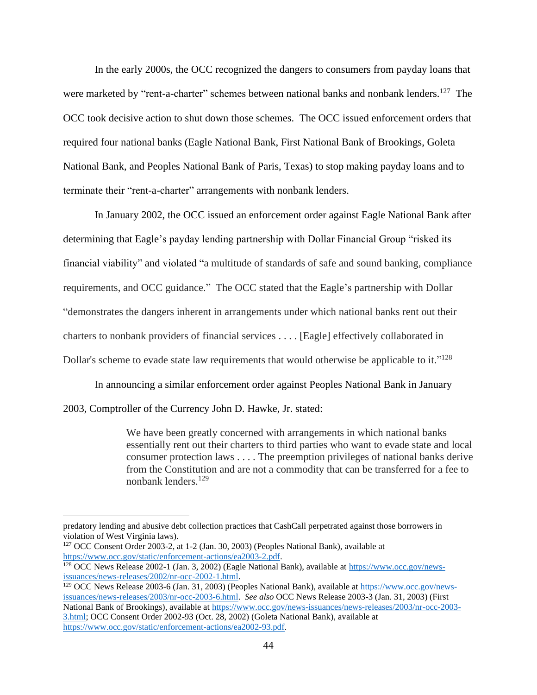In the early 2000s, the OCC recognized the dangers to consumers from payday loans that were marketed by "rent-a-charter" schemes between national banks and nonbank lenders.<sup>127</sup> The OCC took decisive action to shut down those schemes. The OCC issued enforcement orders that required four national banks (Eagle National Bank, First National Bank of Brookings, Goleta National Bank, and Peoples National Bank of Paris, Texas) to stop making payday loans and to terminate their "rent-a-charter" arrangements with nonbank lenders.

In January 2002, the OCC issued an enforcement order against Eagle National Bank after determining that Eagle's payday lending partnership with Dollar Financial Group "risked its financial viability" and violated "a multitude of standards of safe and sound banking, compliance requirements, and OCC guidance." The OCC stated that the Eagle's partnership with Dollar "demonstrates the dangers inherent in arrangements under which national banks rent out their charters to nonbank providers of financial services . . . . [Eagle] effectively collaborated in Dollar's scheme to evade state law requirements that would otherwise be applicable to it."<sup>128</sup>

In announcing a similar enforcement order against Peoples National Bank in January 2003, Comptroller of the Currency John D. Hawke, Jr. stated:

> We have been greatly concerned with arrangements in which national banks essentially rent out their charters to third parties who want to evade state and local consumer protection laws . . . . The preemption privileges of national banks derive from the Constitution and are not a commodity that can be transferred for a fee to nonbank lenders.<sup>129</sup>

predatory lending and abusive debt collection practices that CashCall perpetrated against those borrowers in violation of West Virginia laws).

<sup>127</sup> OCC Consent Order 2003-2, at 1-2 (Jan. 30, 2003) (Peoples National Bank), available at [https://www.occ.gov/static/enforcement-actions/ea2003-2.pdf.](https://www.occ.gov/static/enforcement-actions/ea2003-2.pdf)

<sup>128</sup> OCC News Release 2002-1 (Jan. 3, 2002) (Eagle National Bank), available at [https://www.occ.gov/news](https://www.occ.gov/news-issuances/news-releases/2002/nr-occ-2002-1.html)[issuances/news-releases/2002/nr-occ-2002-1.html.](https://www.occ.gov/news-issuances/news-releases/2002/nr-occ-2002-1.html)

<sup>&</sup>lt;sup>129</sup> OCC News Release 2003-6 (Jan. 31, 2003) (Peoples National Bank), available at [https://www.occ.gov/news](https://www.occ.gov/news-issuances/news-releases/2003/nr-occ-2003-6.html)[issuances/news-releases/2003/nr-occ-2003-6.html.](https://www.occ.gov/news-issuances/news-releases/2003/nr-occ-2003-6.html) *See also* OCC News Release 2003-3 (Jan. 31, 2003) (First National Bank of Brookings), available a[t https://www.occ.gov/news-issuances/news-releases/2003/nr-occ-2003-](https://www.occ.gov/news-issuances/news-releases/2003/nr-occ-2003-3.html) [3.html;](https://www.occ.gov/news-issuances/news-releases/2003/nr-occ-2003-3.html) OCC Consent Order 2002-93 (Oct. 28, 2002) (Goleta National Bank), available at [https://www.occ.gov/static/enforcement-actions/ea2002-93.pdf.](https://www.occ.gov/static/enforcement-actions/ea2002-93.pdf)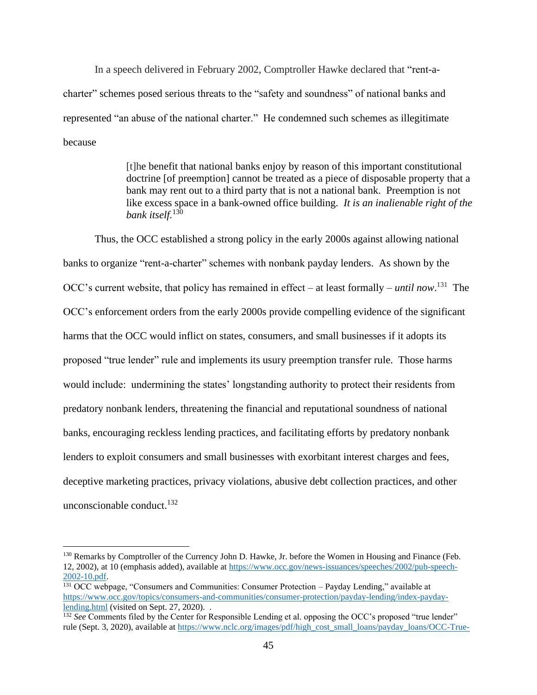In a speech delivered in February 2002, Comptroller Hawke declared that "rent-acharter" schemes posed serious threats to the "safety and soundness" of national banks and represented "an abuse of the national charter." He condemned such schemes as illegitimate because

> [t]he benefit that national banks enjoy by reason of this important constitutional doctrine [of preemption] cannot be treated as a piece of disposable property that a bank may rent out to a third party that is not a national bank. Preemption is not like excess space in a bank-owned office building. *It is an inalienable right of the bank itself.*<sup>130</sup>

Thus, the OCC established a strong policy in the early 2000s against allowing national banks to organize "rent-a-charter" schemes with nonbank payday lenders. As shown by the OCC's current website, that policy has remained in effect – at least formally – *until now*. 131 The OCC's enforcement orders from the early 2000s provide compelling evidence of the significant harms that the OCC would inflict on states, consumers, and small businesses if it adopts its proposed "true lender" rule and implements its usury preemption transfer rule. Those harms would include: undermining the states' longstanding authority to protect their residents from predatory nonbank lenders, threatening the financial and reputational soundness of national banks, encouraging reckless lending practices, and facilitating efforts by predatory nonbank lenders to exploit consumers and small businesses with exorbitant interest charges and fees, deceptive marketing practices, privacy violations, abusive debt collection practices, and other unconscionable conduct. 132

<sup>&</sup>lt;sup>130</sup> Remarks by Comptroller of the Currency John D. Hawke, Jr. before the Women in Housing and Finance (Feb. 12, 2002), at 10 (emphasis added), available at [https://www.occ.gov/news-issuances/speeches/2002/pub-speech-](https://www.occ.gov/news-issuances/speeches/2002/pub-speech-2002-10.pdf)[2002-10.pdf.](https://www.occ.gov/news-issuances/speeches/2002/pub-speech-2002-10.pdf)

<sup>&</sup>lt;sup>131</sup> OCC webpage, "Consumers and Communities: Consumer Protection – Payday Lending," available at [https://www.occ.gov/topics/consumers-and-communities/consumer-protection/payday-lending/index-payday](https://www.occ.gov/topics/consumers-and-communities/consumer-protection/payday-lending/index-payday-lending.html)[lending.html](https://www.occ.gov/topics/consumers-and-communities/consumer-protection/payday-lending/index-payday-lending.html) (visited on Sept. 27, 2020)...

<sup>&</sup>lt;sup>132</sup> *See* Comments filed by the Center for Responsible Lending et al. opposing the OCC's proposed "true lender" rule (Sept. 3, 2020), available at [https://www.nclc.org/images/pdf/high\\_cost\\_small\\_loans/payday\\_loans/OCC-True-](https://www.nclc.org/images/pdf/high_cost_small_loans/payday_loans/OCC-True-Lender-Comments.pdf)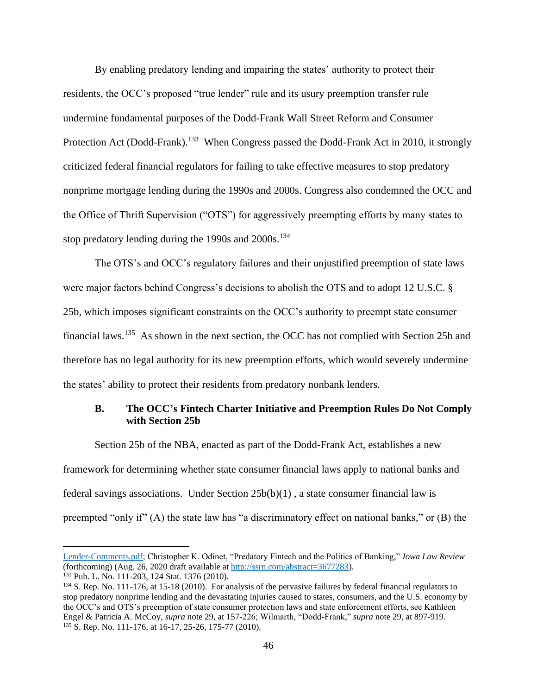By enabling predatory lending and impairing the states' authority to protect their residents, the OCC's proposed "true lender" rule and its usury preemption transfer rule undermine fundamental purposes of the Dodd-Frank Wall Street Reform and Consumer Protection Act (Dodd-Frank).<sup>133</sup> When Congress passed the Dodd-Frank Act in 2010, it strongly criticized federal financial regulators for failing to take effective measures to stop predatory nonprime mortgage lending during the 1990s and 2000s. Congress also condemned the OCC and the Office of Thrift Supervision ("OTS") for aggressively preempting efforts by many states to stop predatory lending during the 1990s and 2000s.<sup>134</sup>

The OTS's and OCC's regulatory failures and their unjustified preemption of state laws were major factors behind Congress's decisions to abolish the OTS and to adopt 12 U.S.C. § 25b, which imposes significant constraints on the OCC's authority to preempt state consumer financial laws.<sup>135</sup> As shown in the next section, the OCC has not complied with Section 25b and therefore has no legal authority for its new preemption efforts, which would severely undermine the states' ability to protect their residents from predatory nonbank lenders.

### **B. The OCC's Fintech Charter Initiative and Preemption Rules Do Not Comply with Section 25b**

Section 25b of the NBA, enacted as part of the Dodd-Frank Act, establishes a new framework for determining whether state consumer financial laws apply to national banks and federal savings associations. Under Section 25b(b)(1) , a state consumer financial law is preempted "only if" (A) the state law has "a discriminatory effect on national banks," or (B) the

[Lender-Comments.pdf;](https://www.nclc.org/images/pdf/high_cost_small_loans/payday_loans/OCC-True-Lender-Comments.pdf) Christopher K. Odinet, "Predatory Fintech and the Politics of Banking," *Iowa Law Review* (forthcoming) (Aug. 26, 2020 draft available a[t http://ssrn.com/abstract=3677283\)](http://ssrn.com/abstract=3677283).

<sup>133</sup> Pub. L. No. 111-203, 124 Stat. 1376 (2010).

<sup>&</sup>lt;sup>134</sup> S. Rep. No. 111-176, at 15-18 (2010). For analysis of the pervasive failures by federal financial regulators to stop predatory nonprime lending and the devastating injuries caused to states, consumers, and the U.S. economy by the OCC's and OTS's preemption of state consumer protection laws and state enforcement efforts, see Kathleen Engel & Patricia A. McCoy, *supra* note 29, at 157-226; Wilmarth, "Dodd-Frank," *supra* note 29, at 897-919. <sup>135</sup> S. Rep. No. 111-176, at 16-17, 25-26, 175-77 (2010).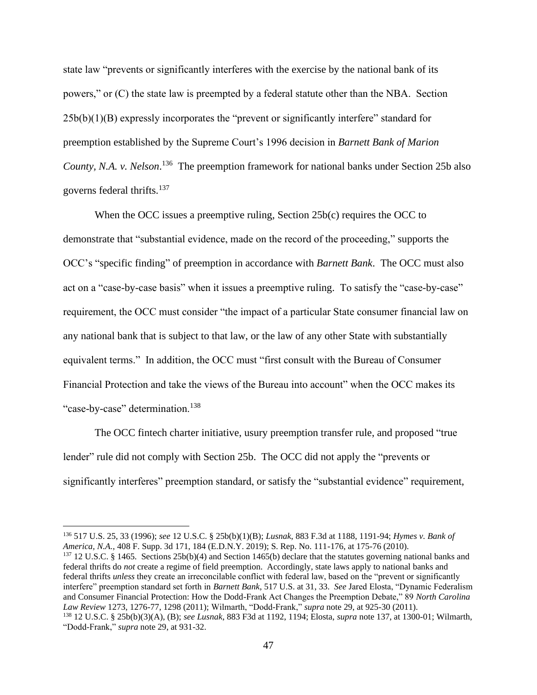state law "prevents or significantly interferes with the exercise by the national bank of its powers," or (C) the state law is preempted by a federal statute other than the NBA. Section  $25b(b)(1)(B)$  expressly incorporates the "prevent or significantly interfere" standard for preemption established by the Supreme Court's 1996 decision in *Barnett Bank of Marion*  County, N.A. v. Nelson.<sup>136</sup> The preemption framework for national banks under Section 25b also governs federal thrifts.<sup>137</sup>

When the OCC issues a preemptive ruling, Section 25b(c) requires the OCC to demonstrate that "substantial evidence, made on the record of the proceeding," supports the OCC's "specific finding" of preemption in accordance with *Barnett Bank*. The OCC must also act on a "case-by-case basis" when it issues a preemptive ruling. To satisfy the "case-by-case" requirement, the OCC must consider "the impact of a particular State consumer financial law on any national bank that is subject to that law, or the law of any other State with substantially equivalent terms." In addition, the OCC must "first consult with the Bureau of Consumer Financial Protection and take the views of the Bureau into account" when the OCC makes its "case-by-case" determination.<sup>138</sup>

The OCC fintech charter initiative, usury preemption transfer rule, and proposed "true lender" rule did not comply with Section 25b. The OCC did not apply the "prevents or significantly interferes" preemption standard, or satisfy the "substantial evidence" requirement,

<sup>137</sup> 12 U.S.C. § 1465. Sections 25b(b)(4) and Section 1465(b) declare that the statutes governing national banks and federal thrifts do *not* create a regime of field preemption. Accordingly, state laws apply to national banks and federal thrifts *unless* they create an irreconcilable conflict with federal law, based on the "prevent or significantly interfere" preemption standard set forth in *Barnett Bank*, 517 U.S. at 31, 33. *See* Jared Elosta, "Dynamic Federalism and Consumer Financial Protection: How the Dodd-Frank Act Changes the Preemption Debate," 89 *North Carolina Law Review* 1273, 1276-77, 1298 (2011); Wilmarth, "Dodd-Frank," *supra* note 29, at 925-30 (2011).

<sup>136</sup> 517 U.S. 25, 33 (1996); *see* 12 U.S.C. § 25b(b)(1)(B); *Lusnak*, 883 F.3d at 1188, 1191-94; *Hymes v. Bank of America, N.A.*, 408 F. Supp. 3d 171, 184 (E.D.N.Y. 2019); S. Rep. No. 111-176, at 175-76 (2010).

<sup>138</sup> 12 U.S.C. § 25b(b)(3)(A), (B); *see Lusnak*, 883 F3d at 1192, 1194; Elosta, *supra* note 137, at 1300-01; Wilmarth, "Dodd-Frank," *supra* note 29, at 931-32.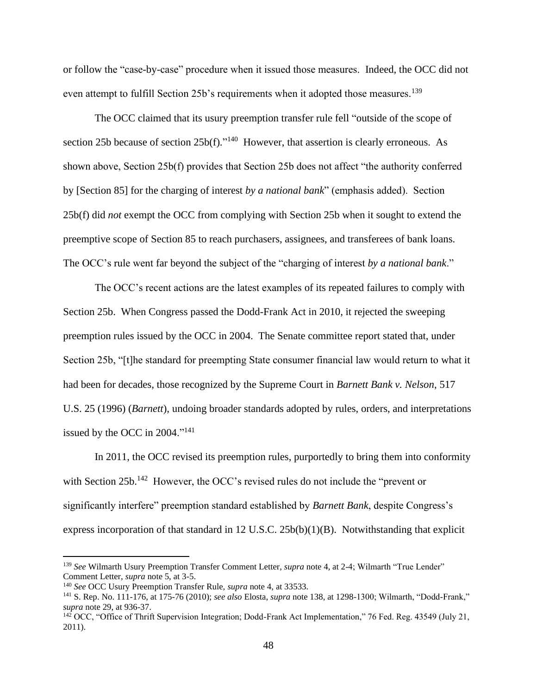or follow the "case-by-case" procedure when it issued those measures. Indeed, the OCC did not even attempt to fulfill Section 25b's requirements when it adopted those measures.<sup>139</sup>

The OCC claimed that its usury preemption transfer rule fell "outside of the scope of section 25b because of section  $25b(f)$ ."<sup>140</sup> However, that assertion is clearly erroneous. As shown above, Section 25b(f) provides that Section 25b does not affect "the authority conferred by [Section 85] for the charging of interest *by a national bank*" (emphasis added). Section 25b(f) did *not* exempt the OCC from complying with Section 25b when it sought to extend the preemptive scope of Section 85 to reach purchasers, assignees, and transferees of bank loans. The OCC's rule went far beyond the subject of the "charging of interest *by a national bank*."

The OCC's recent actions are the latest examples of its repeated failures to comply with Section 25b. When Congress passed the Dodd-Frank Act in 2010, it rejected the sweeping preemption rules issued by the OCC in 2004. The Senate committee report stated that, under Section 25b, "[t]he standard for preempting State consumer financial law would return to what it had been for decades, those recognized by the Supreme Court in *Barnett Bank v. Nelson*, 517 U.S. 25 (1996) (*Barnett*), undoing broader standards adopted by rules, orders, and interpretations issued by the OCC in  $2004.^{1141}$ 

In 2011, the OCC revised its preemption rules, purportedly to bring them into conformity with Section 25b.<sup>142</sup> However, the OCC's revised rules do not include the "prevent or significantly interfere" preemption standard established by *Barnett Bank*, despite Congress's express incorporation of that standard in 12 U.S.C. 25b(b)(1)(B). Notwithstanding that explicit

<sup>139</sup> *See* Wilmarth Usury Preemption Transfer Comment Letter, *supra* note 4, at 2-4; Wilmarth "True Lender" Comment Letter, *supra* note 5, at 3-5.

<sup>140</sup> *See* OCC Usury Preemption Transfer Rule, *supra* note 4, at 33533.

<sup>141</sup> S. Rep. No. 111-176, at 175-76 (2010); *see also* Elosta, *supra* note 138, at 1298-1300; Wilmarth, "Dodd-Frank," *supra* note 29, at 936-37.

 $142$  OCC, "Office of Thrift Supervision Integration; Dodd-Frank Act Implementation," 76 Fed. Reg. 43549 (July 21, 2011).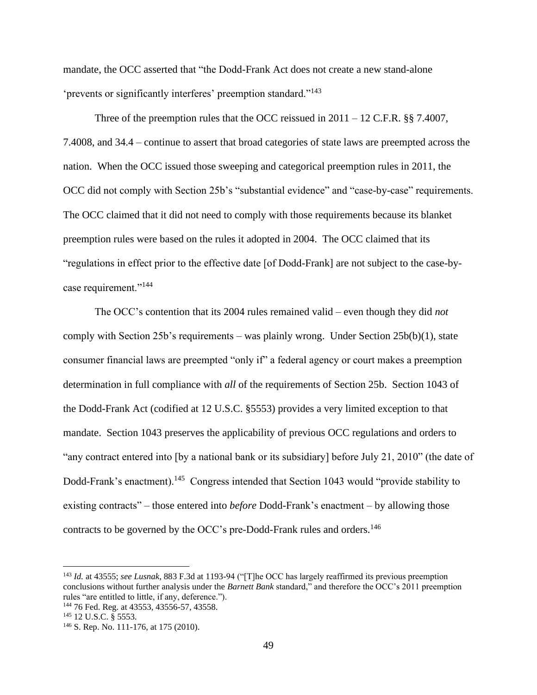mandate, the OCC asserted that "the Dodd-Frank Act does not create a new stand-alone 'prevents or significantly interferes' preemption standard."<sup>143</sup>

Three of the preemption rules that the OCC reissued in  $2011 - 12$  C.F.R. §§ 7.4007, 7.4008, and 34.4 – continue to assert that broad categories of state laws are preempted across the nation. When the OCC issued those sweeping and categorical preemption rules in 2011, the OCC did not comply with Section 25b's "substantial evidence" and "case-by-case" requirements. The OCC claimed that it did not need to comply with those requirements because its blanket preemption rules were based on the rules it adopted in 2004. The OCC claimed that its "regulations in effect prior to the effective date [of Dodd-Frank] are not subject to the case-bycase requirement."<sup>144</sup>

The OCC's contention that its 2004 rules remained valid – even though they did *not* comply with Section 25b's requirements – was plainly wrong. Under Section 25b(b)(1), state consumer financial laws are preempted "only if" a federal agency or court makes a preemption determination in full compliance with *all* of the requirements of Section 25b. Section 1043 of the Dodd-Frank Act (codified at 12 U.S.C. §5553) provides a very limited exception to that mandate. Section 1043 preserves the applicability of previous OCC regulations and orders to "any contract entered into [by a national bank or its subsidiary] before July 21, 2010" (the date of Dodd-Frank's enactment).<sup>145</sup> Congress intended that Section 1043 would "provide stability to existing contracts" – those entered into *before* Dodd-Frank's enactment – by allowing those contracts to be governed by the OCC's pre-Dodd-Frank rules and orders.<sup>146</sup>

<sup>143</sup> *Id.* at 43555; *see Lusnak*, 883 F.3d at 1193-94 ("[T]he OCC has largely reaffirmed its previous preemption conclusions without further analysis under the *Barnett Bank* standard," and therefore the OCC's 2011 preemption rules "are entitled to little, if any, deference.").

<sup>144</sup> 76 Fed. Reg. at 43553, 43556-57, 43558.

<sup>&</sup>lt;sup>145</sup> 12 U.S.C. § 5553.

<sup>146</sup> S. Rep. No. 111-176, at 175 (2010).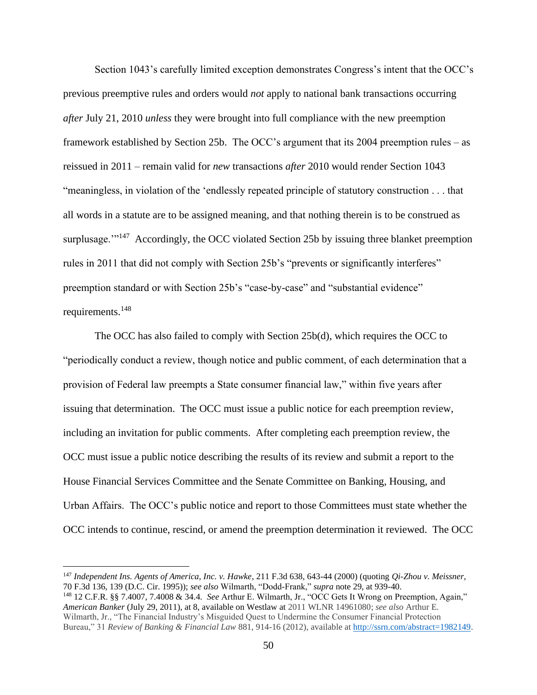Section 1043's carefully limited exception demonstrates Congress's intent that the OCC's previous preemptive rules and orders would *not* apply to national bank transactions occurring *after* July 21, 2010 *unless* they were brought into full compliance with the new preemption framework established by Section 25b. The OCC's argument that its 2004 preemption rules – as reissued in 2011 – remain valid for *new* transactions *after* 2010 would render Section 1043 "meaningless, in violation of the 'endlessly repeated principle of statutory construction . . . that all words in a statute are to be assigned meaning, and that nothing therein is to be construed as surplusage."<sup>147</sup> Accordingly, the OCC violated Section 25b by issuing three blanket preemption rules in 2011 that did not comply with Section 25b's "prevents or significantly interferes" preemption standard or with Section 25b's "case-by-case" and "substantial evidence" requirements.<sup>148</sup>

The OCC has also failed to comply with Section 25b(d), which requires the OCC to "periodically conduct a review, though notice and public comment, of each determination that a provision of Federal law preempts a State consumer financial law," within five years after issuing that determination. The OCC must issue a public notice for each preemption review, including an invitation for public comments. After completing each preemption review, the OCC must issue a public notice describing the results of its review and submit a report to the House Financial Services Committee and the Senate Committee on Banking, Housing, and Urban Affairs. The OCC's public notice and report to those Committees must state whether the OCC intends to continue, rescind, or amend the preemption determination it reviewed. The OCC

<sup>147</sup> *Independent Ins. Agents of America, Inc. v. Hawke*, 211 F.3d 638, 643-44 (2000) (quoting *Qi-Zhou v. Meissner*, 70 F.3d 136, 139 (D.C. Cir. 1995)); *see also* Wilmarth, "Dodd-Frank," *supra* note 29, at 939-40.

<sup>148</sup> 12 C.F.R. §§ 7.4007, 7.4008 & 34.4. *See* Arthur E. Wilmarth, Jr., "OCC Gets It Wrong on Preemption, Again," *American Banker* (July 29, 2011), at 8, available on Westlaw at 2011 WLNR 14961080; *see also* Arthur E. Wilmarth, Jr., "The Financial Industry's Misguided Quest to Undermine the Consumer Financial Protection Bureau," 31 *Review of Banking & Financial Law* 881, 914-16 (2012), available a[t http://ssrn.com/abstract=1982149.](http://ssrn.com/abstract=1982149)